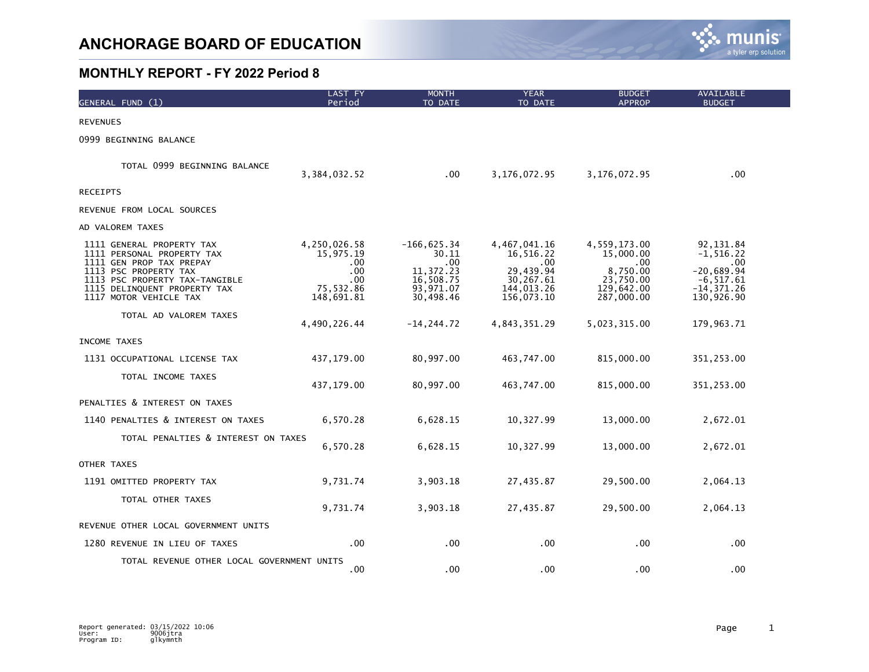

| GENERAL FUND (1)                                                                                                                                                                                         | LAST FY<br>Period                                                              | <b>MONTH</b><br>TO DATE                                                                | <b>YEAR</b><br>TO DATE                                                                      | <b>BUDGET</b><br><b>APPROP</b>                                                         | <b>AVAILABLE</b><br><b>BUDGET</b>                                                              |
|----------------------------------------------------------------------------------------------------------------------------------------------------------------------------------------------------------|--------------------------------------------------------------------------------|----------------------------------------------------------------------------------------|---------------------------------------------------------------------------------------------|----------------------------------------------------------------------------------------|------------------------------------------------------------------------------------------------|
| <b>REVENUES</b>                                                                                                                                                                                          |                                                                                |                                                                                        |                                                                                             |                                                                                        |                                                                                                |
| 0999 BEGINNING BALANCE                                                                                                                                                                                   |                                                                                |                                                                                        |                                                                                             |                                                                                        |                                                                                                |
| TOTAL 0999 BEGINNING BALANCE                                                                                                                                                                             | 3,384,032.52                                                                   | .00                                                                                    | 3,176,072.95                                                                                | 3,176,072.95                                                                           | .00                                                                                            |
| <b>RECEIPTS</b>                                                                                                                                                                                          |                                                                                |                                                                                        |                                                                                             |                                                                                        |                                                                                                |
| REVENUE FROM LOCAL SOURCES                                                                                                                                                                               |                                                                                |                                                                                        |                                                                                             |                                                                                        |                                                                                                |
| AD VALOREM TAXES                                                                                                                                                                                         |                                                                                |                                                                                        |                                                                                             |                                                                                        |                                                                                                |
| 1111 GENERAL PROPERTY TAX<br>1111 PERSONAL PROPERTY TAX<br>1111 GEN PROP TAX PREPAY<br>1113 PSC PROPERTY TAX<br>1113 PSC PROPERTY TAX-TANGIBLE<br>1115 DELINQUENT PROPERTY TAX<br>1117 MOTOR VEHICLE TAX | 4,250,026.58<br>15,975.19<br>$.00 \,$<br>.00<br>.00<br>75,532.86<br>148,691.81 | $-166,625.34$<br>30.11<br>$.00 \,$<br>11,372.23<br>16,508.75<br>93,971.07<br>30,498.46 | 4,467,041.16<br>16,516.22<br>$.00 \,$<br>29,439.94<br>30,267.61<br>144,013.26<br>156,073.10 | 4,559,173.00<br>15,000.00<br>.00.<br>8,750.00<br>23,750.00<br>129,642.00<br>287,000.00 | 92,131.84<br>$-1, 516.22$<br>.00<br>$-20,689.94$<br>$-6,517.61$<br>$-14, 371.26$<br>130,926.90 |
| TOTAL AD VALOREM TAXES                                                                                                                                                                                   | 4,490,226.44                                                                   | $-14, 244.72$                                                                          | 4,843,351.29                                                                                | 5,023,315.00                                                                           | 179,963.71                                                                                     |
| INCOME TAXES                                                                                                                                                                                             |                                                                                |                                                                                        |                                                                                             |                                                                                        |                                                                                                |
| 1131 OCCUPATIONAL LICENSE TAX                                                                                                                                                                            | 437,179.00                                                                     | 80,997.00                                                                              | 463,747.00                                                                                  | 815,000.00                                                                             | 351,253.00                                                                                     |
| TOTAL INCOME TAXES                                                                                                                                                                                       | 437, 179.00                                                                    | 80,997.00                                                                              | 463,747.00                                                                                  | 815,000.00                                                                             | 351,253.00                                                                                     |
| PENALTIES & INTEREST ON TAXES                                                                                                                                                                            |                                                                                |                                                                                        |                                                                                             |                                                                                        |                                                                                                |
| 1140 PENALTIES & INTEREST ON TAXES                                                                                                                                                                       | 6,570.28                                                                       | 6,628.15                                                                               | 10,327.99                                                                                   | 13,000.00                                                                              | 2,672.01                                                                                       |
| TOTAL PENALTIES & INTEREST ON TAXES                                                                                                                                                                      | 6,570.28                                                                       | 6,628.15                                                                               | 10,327.99                                                                                   | 13,000.00                                                                              | 2,672.01                                                                                       |
| OTHER TAXES                                                                                                                                                                                              |                                                                                |                                                                                        |                                                                                             |                                                                                        |                                                                                                |
| 1191 OMITTED PROPERTY TAX                                                                                                                                                                                | 9,731.74                                                                       | 3,903.18                                                                               | 27,435.87                                                                                   | 29,500.00                                                                              | 2,064.13                                                                                       |
| TOTAL OTHER TAXES                                                                                                                                                                                        | 9,731.74                                                                       | 3,903.18                                                                               | 27,435.87                                                                                   | 29,500.00                                                                              | 2,064.13                                                                                       |
| REVENUE OTHER LOCAL GOVERNMENT UNITS                                                                                                                                                                     |                                                                                |                                                                                        |                                                                                             |                                                                                        |                                                                                                |
| 1280 REVENUE IN LIEU OF TAXES                                                                                                                                                                            | .00                                                                            | .00                                                                                    | $.00 \,$                                                                                    | .00.                                                                                   | .00                                                                                            |
| TOTAL REVENUE OTHER LOCAL GOVERNMENT UNITS                                                                                                                                                               | .00                                                                            | .00                                                                                    | .00                                                                                         | .00                                                                                    | .00                                                                                            |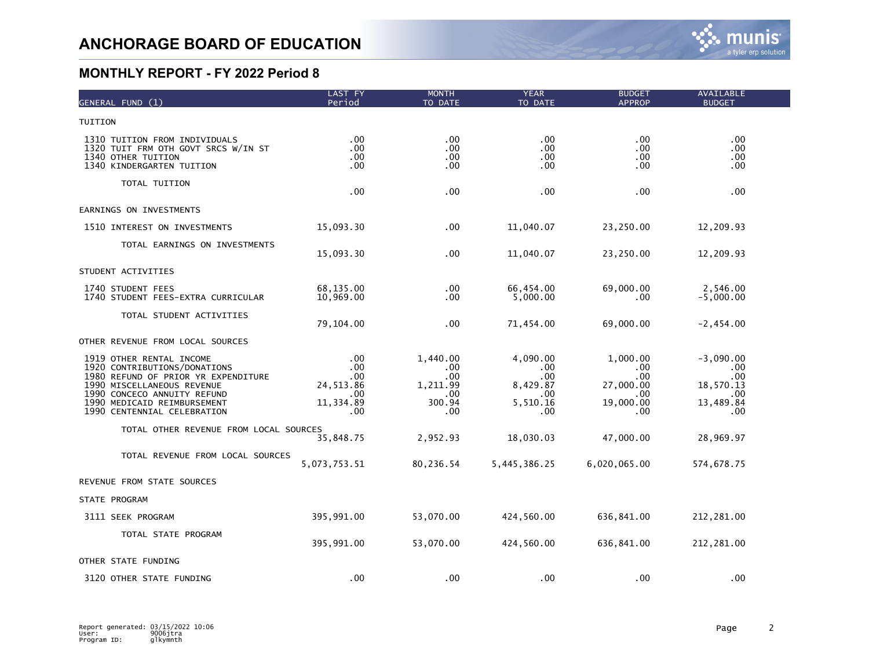| GENERAL FUND (1)                                                                                                                                                                                                           | LAST FY<br>Period                                               | <b>MONTH</b><br>TO DATE                                      | <b>YEAR</b><br>TO DATE                                       | <b>BUDGET</b><br><b>APPROP</b>                                 | AVAILABLE<br><b>BUDGET</b>                                        |  |
|----------------------------------------------------------------------------------------------------------------------------------------------------------------------------------------------------------------------------|-----------------------------------------------------------------|--------------------------------------------------------------|--------------------------------------------------------------|----------------------------------------------------------------|-------------------------------------------------------------------|--|
| TUITION                                                                                                                                                                                                                    |                                                                 |                                                              |                                                              |                                                                |                                                                   |  |
| 1310 TUITION FROM INDIVIDUALS<br>1320 TUIT FRM OTH GOVT SRCS W/IN ST<br>1340 OTHER TUITION<br>1340 KINDERGARTEN TUITION                                                                                                    | .00<br>$.00 \,$<br>.00<br>$.00 \,$                              | .00<br>.00<br>.00<br>.00                                     | .00<br>$.00 \,$<br>$.00 \,$<br>.00                           | .00<br>.00<br>.00<br>.00                                       | .00<br>.00<br>.00.<br>.00                                         |  |
| TOTAL TUITION                                                                                                                                                                                                              | .00                                                             | .00                                                          | .00                                                          | .00                                                            | .00                                                               |  |
| EARNINGS ON INVESTMENTS                                                                                                                                                                                                    |                                                                 |                                                              |                                                              |                                                                |                                                                   |  |
| 1510 INTEREST ON INVESTMENTS                                                                                                                                                                                               | 15,093.30                                                       | $.00 \,$                                                     | 11,040.07                                                    | 23,250.00                                                      | 12,209.93                                                         |  |
| TOTAL EARNINGS ON INVESTMENTS                                                                                                                                                                                              | 15,093.30                                                       | .00                                                          | 11,040.07                                                    | 23,250.00                                                      | 12,209.93                                                         |  |
| STUDENT ACTIVITIES                                                                                                                                                                                                         |                                                                 |                                                              |                                                              |                                                                |                                                                   |  |
| 1740 STUDENT FEES<br>1740 STUDENT FEES-EXTRA CURRICULAR                                                                                                                                                                    | 68,135.00<br>10,969.00                                          | $.00 \,$<br>.00                                              | 66,454.00<br>5,000.00                                        | 69,000.00<br>.00                                               | 2,546.00<br>$-5,000.00$                                           |  |
| TOTAL STUDENT ACTIVITIES                                                                                                                                                                                                   | 79,104.00                                                       | .00                                                          | 71,454.00                                                    | 69,000.00                                                      | $-2,454.00$                                                       |  |
| OTHER REVENUE FROM LOCAL SOURCES                                                                                                                                                                                           |                                                                 |                                                              |                                                              |                                                                |                                                                   |  |
| 1919 OTHER RENTAL INCOME<br>1920 CONTRIBUTIONS/DONATIONS<br>1980 REFUND OF PRIOR YR EXPENDITURE<br>1990 MISCELLANEOUS REVENUE<br>1990 CONCECO ANNUITY REFUND<br>1990 MEDICAID REIMBURSEMENT<br>1990 CENTENNIAL CELEBRATION | .00<br>.00<br>$.00 \,$<br>24, 513.86<br>.00<br>11,334.89<br>.00 | 1,440.00<br>.00<br>.00.<br>1,211.99<br>.00.<br>300.94<br>.00 | 4,090.00<br>.00<br>.00<br>8,429.87<br>.00<br>5,510.16<br>.00 | 1,000.00<br>.00<br>.00<br>27,000.00<br>.00<br>19,000.00<br>.00 | $-3,090.00$<br>.00<br>.00<br>18,570.13<br>.00<br>13,489.84<br>.00 |  |
| TOTAL OTHER REVENUE FROM LOCAL SOURCES                                                                                                                                                                                     | 35,848.75                                                       | 2,952.93                                                     | 18,030.03                                                    | 47,000.00                                                      | 28,969.97                                                         |  |
| TOTAL REVENUE FROM LOCAL SOURCES                                                                                                                                                                                           | 5,073,753.51                                                    | 80,236.54                                                    | 5,445,386.25                                                 | 6,020,065.00                                                   | 574,678.75                                                        |  |
| REVENUE FROM STATE SOURCES                                                                                                                                                                                                 |                                                                 |                                                              |                                                              |                                                                |                                                                   |  |
| STATE PROGRAM                                                                                                                                                                                                              |                                                                 |                                                              |                                                              |                                                                |                                                                   |  |
| 3111 SEEK PROGRAM                                                                                                                                                                                                          | 395,991.00                                                      | 53,070.00                                                    | 424,560.00                                                   | 636,841.00                                                     | 212,281.00                                                        |  |
| TOTAL STATE PROGRAM                                                                                                                                                                                                        | 395,991.00                                                      | 53,070.00                                                    | 424,560.00                                                   | 636,841.00                                                     | 212, 281.00                                                       |  |
| OTHER STATE FUNDING                                                                                                                                                                                                        |                                                                 |                                                              |                                                              |                                                                |                                                                   |  |
| 3120 OTHER STATE FUNDING                                                                                                                                                                                                   | .00                                                             | .00                                                          | .00                                                          | .00                                                            | .00                                                               |  |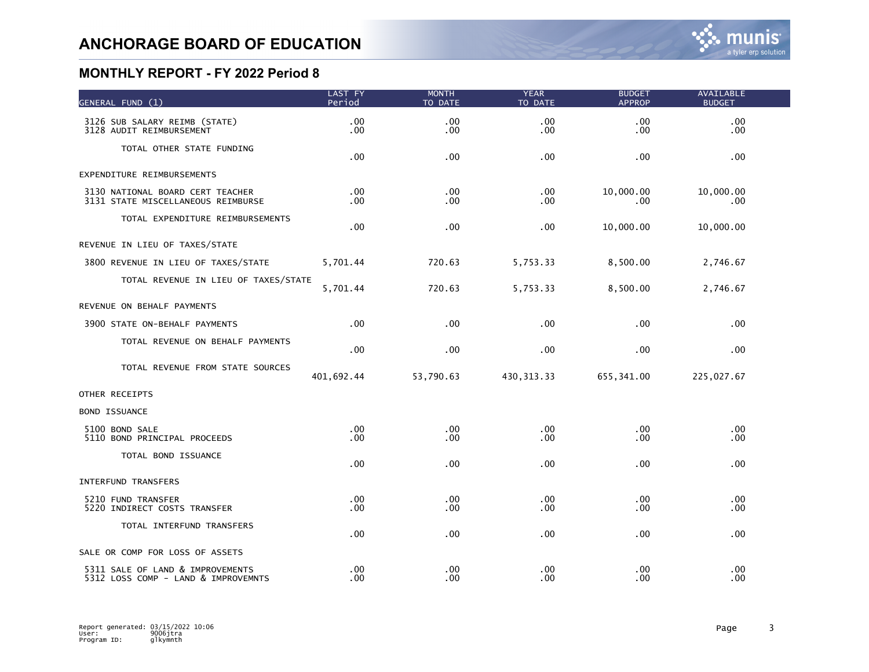| GENERAL FUND (1)                                                        | LAST FY<br>Period | <b>MONTH</b><br>TO DATE              | <b>YEAR</b><br>TO DATE | <b>BUDGET</b><br><b>APPROP</b> | <b>AVAILABLE</b><br><b>BUDGET</b> |  |
|-------------------------------------------------------------------------|-------------------|--------------------------------------|------------------------|--------------------------------|-----------------------------------|--|
| 3126 SUB SALARY REIMB (STATE)<br>3128 AUDIT REIMBURSEMENT               | .00<br>.00        | .00 <sub>1</sub><br>.00 <sub>1</sub> | .00<br>.00             | .00<br>.00                     | .00<br>.00.                       |  |
| TOTAL OTHER STATE FUNDING                                               | .00               | $.00 \,$                             | .00                    | .00                            | .00                               |  |
| EXPENDITURE REIMBURSEMENTS                                              |                   |                                      |                        |                                |                                   |  |
| 3130 NATIONAL BOARD CERT TEACHER<br>3131 STATE MISCELLANEOUS REIMBURSE  | .00<br>.00        | .00 <sub>1</sub><br>$.00 \,$         | .00<br>.00             | 10,000.00<br>.00               | 10,000.00<br>.00                  |  |
| TOTAL EXPENDITURE REIMBURSEMENTS                                        | .00               | $.00 \,$                             | .00                    | 10,000.00                      | 10,000.00                         |  |
| REVENUE IN LIEU OF TAXES/STATE                                          |                   |                                      |                        |                                |                                   |  |
| 3800 REVENUE IN LIEU OF TAXES/STATE                                     | 5,701.44          | 720.63                               | 5,753.33               | 8,500.00                       | 2,746.67                          |  |
| TOTAL REVENUE IN LIEU OF TAXES/STATE                                    | 5,701.44          | 720.63                               | 5,753.33               | 8,500.00                       | 2,746.67                          |  |
| REVENUE ON BEHALF PAYMENTS                                              |                   |                                      |                        |                                |                                   |  |
| 3900 STATE ON-BEHALF PAYMENTS                                           | .00               | .00 <sub>1</sub>                     | .00                    | .00                            | .00                               |  |
| TOTAL REVENUE ON BEHALF PAYMENTS                                        | .00               | $.00 \,$                             | .00                    | .00                            | .00                               |  |
| TOTAL REVENUE FROM STATE SOURCES                                        | 401,692.44        | 53,790.63                            | 430, 313.33            | 655,341.00                     | 225,027.67                        |  |
| OTHER RECEIPTS                                                          |                   |                                      |                        |                                |                                   |  |
| <b>BOND ISSUANCE</b>                                                    |                   |                                      |                        |                                |                                   |  |
| 5100 BOND SALE<br>5110 BOND PRINCIPAL PROCEEDS                          | .00<br>.00        | $.00 \,$<br>$.00 \,$                 | .00<br>.00             | .00<br>.00                     | .00<br>.00                        |  |
| TOTAL BOND ISSUANCE                                                     | $.00 \,$          | .00                                  | .00                    | .00                            | .00                               |  |
| <b>INTERFUND TRANSFERS</b>                                              |                   |                                      |                        |                                |                                   |  |
| 5210 FUND TRANSFER<br>5220 INDIRECT COSTS TRANSFER                      | .00<br>$.00 \,$   | $.00 \,$<br>$.00 \,$                 | .00<br>.00             | .00.<br>.00                    | .00<br>.00                        |  |
| TOTAL INTERFUND TRANSFERS                                               | .00               | $.00 \,$                             | .00                    | .00.                           | .00                               |  |
| SALE OR COMP FOR LOSS OF ASSETS                                         |                   |                                      |                        |                                |                                   |  |
| 5311 SALE OF LAND & IMPROVEMENTS<br>5312 LOSS COMP - LAND & IMPROVEMNTS | $.00 \,$<br>.00   | .00 <sub>1</sub><br>.00 <sub>1</sub> | .00<br>.00             | .00<br>.00                     | .00<br>.00                        |  |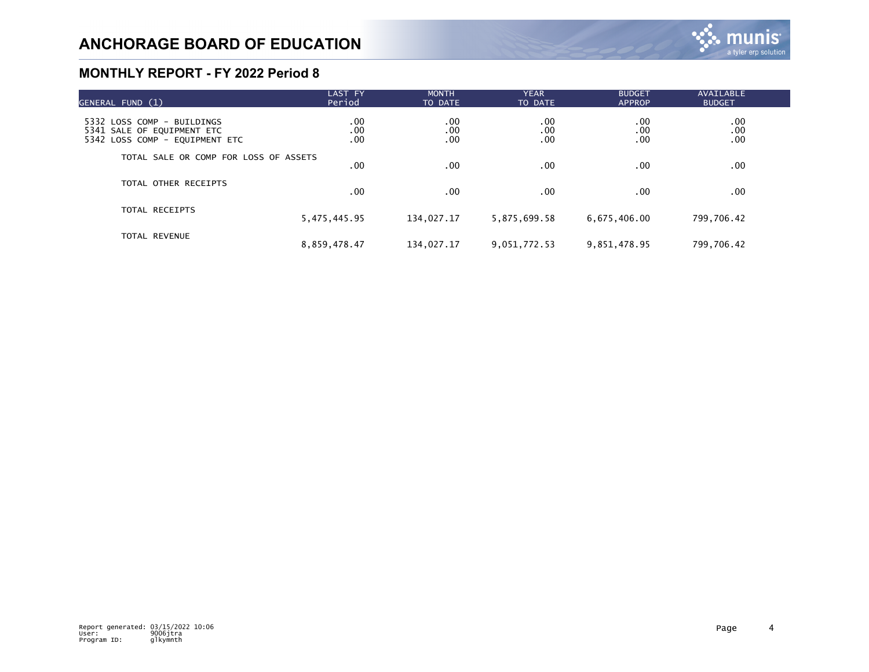| GENERAL FUND (1)                                                                           | LAST FY<br>Period      | <b>MONTH</b><br>TO DATE | <b>YEAR</b><br>TO DATE | <b>BUDGET</b><br><b>APPROP</b> | <b>AVAILABLE</b><br><b>BUDGET</b> |  |
|--------------------------------------------------------------------------------------------|------------------------|-------------------------|------------------------|--------------------------------|-----------------------------------|--|
| 5332 LOSS COMP - BUILDINGS<br>5341 SALE OF EQUIPMENT ETC<br>5342 LOSS COMP - EQUIPMENT ETC | $.00 \,$<br>.00<br>.00 | .00.<br>.00<br>.00      | .00<br>.00<br>.00      | .00<br>.00<br>.00              | .00<br>.00<br>.00                 |  |
| TOTAL SALE OR COMP FOR LOSS OF ASSETS                                                      | $.00 \,$               | $.00 \,$                | .00                    | $.00 \,$                       | $.00 \,$                          |  |
| TOTAL OTHER RECEIPTS                                                                       | .00 <sub>1</sub>       | $.00 \,$                | .00                    | $.00 \,$                       | .00                               |  |
| TOTAL RECEIPTS                                                                             | 5,475,445.95           | 134,027.17              | 5,875,699.58           | 6,675,406.00                   | 799,706.42                        |  |
| TOTAL REVENUE                                                                              | 8,859,478.47           | 134,027.17              | 9,051,772.53           | 9,851,478.95                   | 799,706.42                        |  |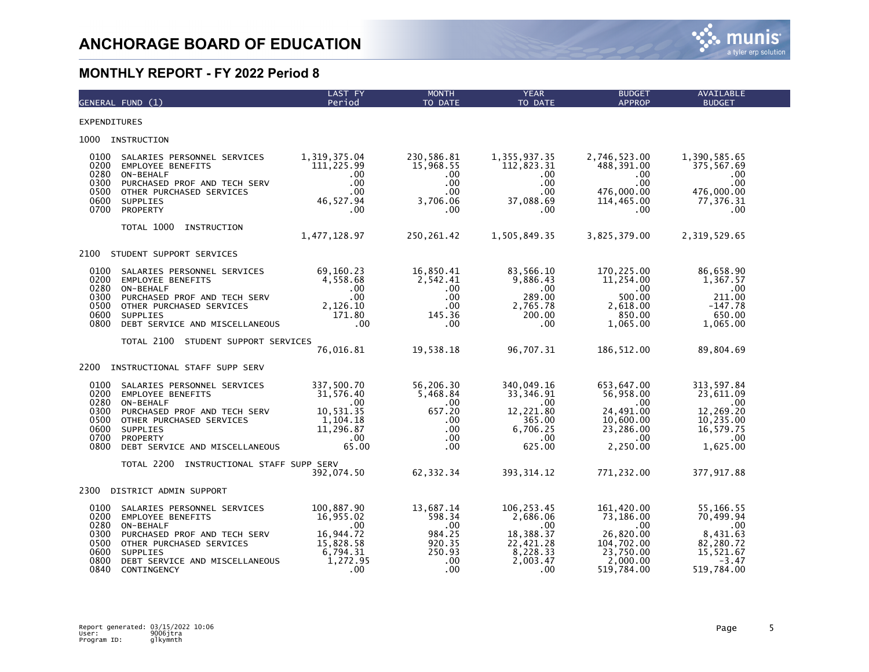

|                                                              | GENERAL FUND (1)                                                                                                                                                                              | LAST FY<br>Period                                                                            | <b>MONTH</b><br>TO DATE                                                                | <b>YEAR</b><br>TO DATE                                                                          | <b>BUDGET</b><br><b>APPROP</b>                                                                   | <b>AVAILABLE</b><br><b>BUDGET</b>                                                                 |
|--------------------------------------------------------------|-----------------------------------------------------------------------------------------------------------------------------------------------------------------------------------------------|----------------------------------------------------------------------------------------------|----------------------------------------------------------------------------------------|-------------------------------------------------------------------------------------------------|--------------------------------------------------------------------------------------------------|---------------------------------------------------------------------------------------------------|
| <b>EXPENDITURES</b>                                          |                                                                                                                                                                                               |                                                                                              |                                                                                        |                                                                                                 |                                                                                                  |                                                                                                   |
| 1000                                                         | INSTRUCTION                                                                                                                                                                                   |                                                                                              |                                                                                        |                                                                                                 |                                                                                                  |                                                                                                   |
| 0100<br>0200<br>0280<br>0300<br>0500<br>0600<br>0700         | SALARIES PERSONNEL SERVICES<br><b>EMPLOYEE BENEFITS</b><br>ON-BEHALF<br>PURCHASED PROF AND TECH SERV<br>OTHER PURCHASED SERVICES<br>SUPPLIES<br>PROPERTY                                      | 1,319,375.04<br>111,225.99<br>$.00 \,$<br>.00<br>.00<br>46,527.94<br>.00                     | 230,586.81<br>15,968.55<br>.00<br>.00<br>$.00 \,$<br>3,706.06<br>.00                   | 1,355,937.35<br>112,823.31<br>.00.<br>.00<br>$.00 \,$<br>37,088.69<br>$.00 \,$                  | 2,746,523.00<br>488,391.00<br>$.00 \,$<br>.00<br>476,000.00<br>114,465.00<br>.00                 | 1,390,585.65<br>375,567.69<br>$.00 \,$<br>.00<br>476,000.00<br>77,376.31<br>$.00 \,$              |
|                                                              | TOTAL 1000<br>INSTRUCTION                                                                                                                                                                     | 1,477,128.97                                                                                 | 250, 261.42                                                                            | 1,505,849.35                                                                                    | 3,825,379.00                                                                                     | 2,319,529.65                                                                                      |
| 2100                                                         | STUDENT SUPPORT SERVICES                                                                                                                                                                      |                                                                                              |                                                                                        |                                                                                                 |                                                                                                  |                                                                                                   |
| 0100<br>0200<br>0280<br>0300<br>0500<br>0600<br>0800         | SALARIES PERSONNEL SERVICES<br><b>EMPLOYEE BENEFITS</b><br>ON-BEHALF<br>PURCHASED PROF AND TECH SERV<br>OTHER PURCHASED SERVICES<br><b>SUPPLIES</b><br>DEBT SERVICE AND MISCELLANEOUS         | 69,160.23<br>4,558.68<br>.00<br>$.00 \,$<br>2,126.10<br>171.80<br>.00                        | 16,850.41<br>2,542.41<br>$.00 \,$<br>$.00 \,$<br>$.00 \,$<br>145.36<br>.00             | 83,566.10<br>9,886.43<br>.00<br>289.00<br>2,765.78<br>200.00<br>.00                             | 170,225.00<br>11,254.00<br>.00.<br>500.00<br>2,618.00<br>850.00<br>1,065.00                      | 86,658.90<br>1,367.57<br>.00<br>211.00<br>$-147.78$<br>650.00<br>1,065.00                         |
|                                                              | TOTAL 2100<br>STUDENT SUPPORT SERVICES                                                                                                                                                        | 76,016.81                                                                                    | 19,538.18                                                                              | 96,707.31                                                                                       | 186, 512.00                                                                                      | 89,804.69                                                                                         |
| 2200                                                         | INSTRUCTIONAL STAFF SUPP SERV                                                                                                                                                                 |                                                                                              |                                                                                        |                                                                                                 |                                                                                                  |                                                                                                   |
| 0100<br>0200<br>0280<br>0300<br>0500<br>0600<br>0700<br>0800 | SALARIES PERSONNEL SERVICES<br><b>EMPLOYEE BENEFITS</b><br>ON-BEHALF<br>PURCHASED PROF AND TECH SERV<br>OTHER PURCHASED SERVICES<br>SUPPLIES<br>PROPERTY<br>DEBT SERVICE AND MISCELLANEOUS    | 337,500.70<br>31,576.40<br>$.00 \,$<br>10,531.35<br>1,104.18<br>11,296.87<br>.00<br>65.00    | 56,206.30<br>5,468.84<br>$.00 \,$<br>657.20<br>.00.<br>$.00 \,$<br>$.00 \times$<br>.00 | 340,049.16<br>33,346.91<br>$.00 \cdot$<br>12,221.80<br>365.00<br>6,706.25<br>$.00 \,$<br>625.00 | 653,647.00<br>56,958.00<br>.00<br>24,491.00<br>10,600.00<br>23,286.00<br>$.00 \,$<br>2,250.00    | 313,597.84<br>23,611.09<br>$.00 \,$<br>12,269.20<br>10, 235.00<br>16,579.75<br>.00<br>1,625.00    |
|                                                              | TOTAL 2200<br>INSTRUCTIONAL STAFF SUPP SERV                                                                                                                                                   | 392,074.50                                                                                   | 62, 332.34                                                                             | 393, 314.12                                                                                     | 771,232.00                                                                                       | 377, 917.88                                                                                       |
| 2300                                                         | DISTRICT ADMIN SUPPORT                                                                                                                                                                        |                                                                                              |                                                                                        |                                                                                                 |                                                                                                  |                                                                                                   |
| 0100<br>0200<br>0280<br>0300<br>0500<br>0600<br>0800<br>0840 | SALARIES PERSONNEL SERVICES<br><b>EMPLOYEE BENEFITS</b><br>ON-BEHALF<br>PURCHASED PROF AND TECH SERV<br>OTHER PURCHASED SERVICES<br>SUPPLIES<br>DEBT SERVICE AND MISCELLANEOUS<br>CONTINGENCY | 100,887.90<br>16,955.02<br>.00<br>16,944.72<br>15,828.58<br>6,794.31<br>1,272.95<br>$.00 \,$ | 13,687.14<br>598.34<br>.00<br>984.25<br>920.35<br>250.93<br>.00<br>.00                 | 106, 253.45<br>2,686.06<br>.00.<br>18,388.37<br>22,421.28<br>8,228.33<br>2,003.47<br>.00        | 161,420.00<br>73,186.00<br>.00<br>26,820.00<br>104,702.00<br>23,750.00<br>2,000.00<br>519,784.00 | 55,166.55<br>70,499.94<br>$.00 \,$<br>8,431.63<br>82,280.72<br>15,521.67<br>$-3.47$<br>519,784.00 |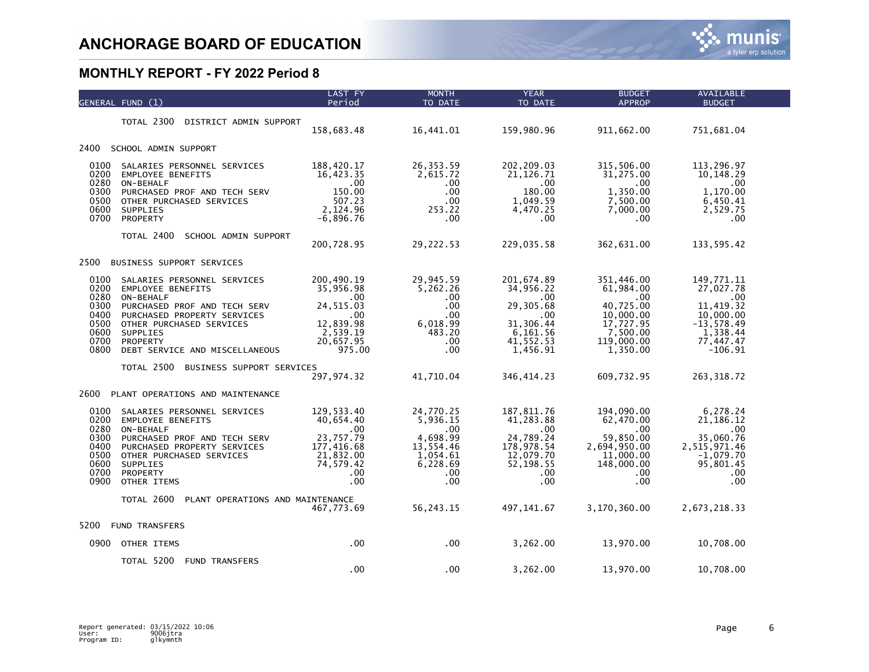|                                                                      | GENERAL FUND (1)                                                                                                                                                                                                                 | LAST FY<br>Period                                                                                        | <b>MONTH</b><br>TO DATE                                                                                        | <b>YEAR</b><br>TO DATE                                                                                     | <b>BUDGET</b><br><b>APPROP</b>                                                                              | <b>AVAILABLE</b><br><b>BUDGET</b>                                                                               |  |
|----------------------------------------------------------------------|----------------------------------------------------------------------------------------------------------------------------------------------------------------------------------------------------------------------------------|----------------------------------------------------------------------------------------------------------|----------------------------------------------------------------------------------------------------------------|------------------------------------------------------------------------------------------------------------|-------------------------------------------------------------------------------------------------------------|-----------------------------------------------------------------------------------------------------------------|--|
|                                                                      | TOTAL 2300<br>DISTRICT ADMIN SUPPORT                                                                                                                                                                                             | 158,683.48                                                                                               | 16,441.01                                                                                                      | 159,980.96                                                                                                 | 911,662.00                                                                                                  | 751,681.04                                                                                                      |  |
| 2400                                                                 | SCHOOL ADMIN SUPPORT                                                                                                                                                                                                             |                                                                                                          |                                                                                                                |                                                                                                            |                                                                                                             |                                                                                                                 |  |
| 0100<br>0200<br>0280<br>0300<br>0500<br>0600<br>0700                 | SALARIES PERSONNEL SERVICES<br><b>EMPLOYEE BENEFITS</b><br>ON-BEHALF<br>PURCHASED PROF AND TECH SERV<br>OTHER PURCHASED SERVICES<br><b>SUPPLIES</b><br>PROPERTY                                                                  | 188,420.17<br>16,423.35<br>.00<br>150.00<br>507.23<br>2,124.96<br>$-6,896.76$                            | 26, 353.59<br>2,615.72<br>.00<br>.00<br>.00<br>253.22<br>.00                                                   | 202, 209.03<br>21, 126.71<br>$.00 \,$<br>180.00<br>1,049.59<br>4,470.25<br>.00.                            | 315,506.00<br>31,275.00<br>.00.<br>1,350.00<br>7,500.00<br>7,000.00<br>.00                                  | 113,296.97<br>10,148.29<br>.00<br>1,170.00<br>6,450.41<br>2,529.75<br>.00.                                      |  |
|                                                                      | TOTAL 2400<br>SCHOOL ADMIN SUPPORT                                                                                                                                                                                               | 200,728.95                                                                                               | 29,222.53                                                                                                      | 229,035.58                                                                                                 | 362,631.00                                                                                                  | 133,595.42                                                                                                      |  |
| 2500                                                                 | BUSINESS SUPPORT SERVICES                                                                                                                                                                                                        |                                                                                                          |                                                                                                                |                                                                                                            |                                                                                                             |                                                                                                                 |  |
| 0100<br>0200<br>0280<br>0300<br>0400<br>0500<br>0600<br>0700<br>0800 | SALARIES PERSONNEL SERVICES<br><b>EMPLOYEE BENEFITS</b><br>ON-BEHALF<br>PURCHASED PROF AND TECH SERV<br>PURCHASED PROPERTY SERVICES<br>OTHER PURCHASED SERVICES<br><b>SUPPLIES</b><br>PROPERTY<br>DEBT SERVICE AND MISCELLANEOUS | 200,490.19<br>35,956.98<br>$.00 \,$<br>24, 515.03<br>.00<br>12,839.98<br>2,539.19<br>20,657.95<br>975.00 | 29,945.59<br>5,262.26<br>$.00 \,$<br>.00 <sub>1</sub><br>.00 <sub>1</sub><br>6,018.99<br>483.20<br>.00.<br>.00 | 201,674.89<br>34,956.22<br>$.00 \,$<br>29,305.68<br>.00<br>31,306.44<br>6,161.56<br>41, 552.53<br>1,456.91 | 351,446.00<br>61,984.00<br>.00<br>40,725.00<br>10,000.00<br>17,727.95<br>7,500.00<br>119,000.00<br>1,350.00 | 149,771.11<br>27,027.78<br>.00.<br>11,419.32<br>10,000.00<br>$-13,578.49$<br>1,338.44<br>77,447.47<br>$-106.91$ |  |
|                                                                      | TOTAL 2500<br>BUSINESS SUPPORT SERVICES                                                                                                                                                                                          | 297, 974.32                                                                                              | 41,710.04                                                                                                      | 346, 414.23                                                                                                | 609,732.95                                                                                                  | 263, 318.72                                                                                                     |  |
| 2600                                                                 | PLANT OPERATIONS AND MAINTENANCE                                                                                                                                                                                                 |                                                                                                          |                                                                                                                |                                                                                                            |                                                                                                             |                                                                                                                 |  |
| 0100<br>0200<br>0280<br>0300<br>0400<br>0500<br>0600<br>0700<br>0900 | SALARIES PERSONNEL SERVICES<br><b>EMPLOYEE BENEFITS</b><br>ON-BEHALF<br>PURCHASED PROF AND TECH SERV<br>PURCHASED PROPERTY SERVICES<br>OTHER PURCHASED SERVICES<br>SUPPLIES<br>PROPERTY<br>OTHER ITEMS                           | 129,533.40<br>40,654.40<br>.00<br>23,757.79<br>177,416.68<br>21,832.00<br>74,579.42<br>.00<br>.00        | 24,770.25<br>5,936.15<br>.00.<br>4,698.99<br>13,554.46<br>1,054.61<br>6,228.69<br>.00<br>$.00 \,$              | 187, 811.76<br>41,283.88<br>$.00 \,$<br>24,789.24<br>178,978.54<br>12,079.70<br>52, 198.55<br>.00.<br>.00  | 194,090.00<br>62,470.00<br>.00.<br>59,850.00<br>2,694,950.00<br>11,000.00<br>148,000.00<br>.00<br>.00       | 6,278.24<br>21, 186. 12<br>.00<br>35,060.76<br>2,515,971.46<br>$-1,079.70$<br>95,801.45<br>.00<br>.00           |  |
|                                                                      | TOTAL 2600<br>PLANT OPERATIONS AND MAINTENANCE                                                                                                                                                                                   | 467,773.69                                                                                               | 56,243.15                                                                                                      | 497, 141.67                                                                                                | 3,170,360.00                                                                                                | 2,673,218.33                                                                                                    |  |
| 5200                                                                 | <b>FUND TRANSFERS</b>                                                                                                                                                                                                            |                                                                                                          |                                                                                                                |                                                                                                            |                                                                                                             |                                                                                                                 |  |
| 0900                                                                 | OTHER ITEMS                                                                                                                                                                                                                      | .00                                                                                                      | $.00 \,$                                                                                                       | 3,262.00                                                                                                   | 13,970.00                                                                                                   | 10,708.00                                                                                                       |  |
|                                                                      | TOTAL 5200<br><b>FUND TRANSFERS</b>                                                                                                                                                                                              | .00                                                                                                      | .00                                                                                                            | 3,262.00                                                                                                   | 13,970.00                                                                                                   | 10,708.00                                                                                                       |  |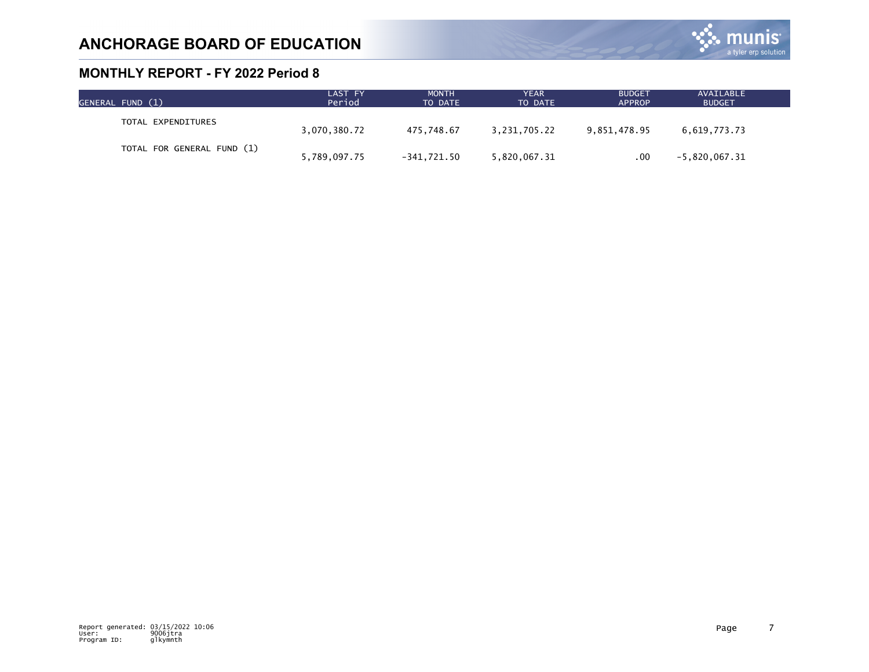

| GENERAL FUND (1)           | LAST FY<br>Period | <b>MONTH</b><br>TO DATE | <b>YEAR</b><br>TO DATE | <b>BUDGET</b><br><b>APPROP</b> | AVAILABLE<br><b>BUDGET</b> |  |
|----------------------------|-------------------|-------------------------|------------------------|--------------------------------|----------------------------|--|
| TOTAL EXPENDITURES         | 3,070,380.72      | 475.748.67              | 3,231,705.22           | 9,851,478.95                   | 6,619,773.73               |  |
| TOTAL FOR GENERAL FUND (1) | 5,789,097.75      | -341.721.50             | 5,820,067.31           | .00                            | $-5,820,067.31$            |  |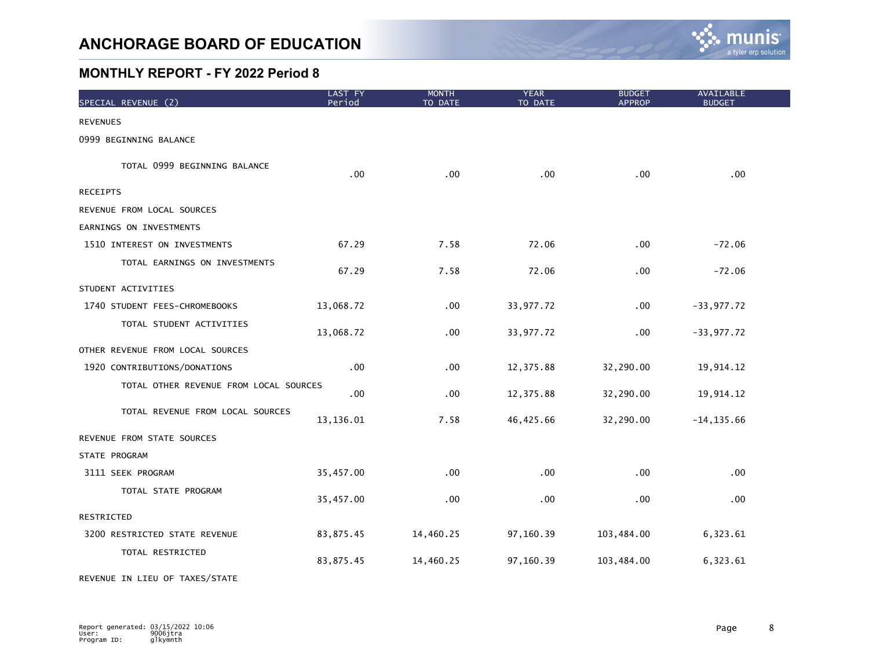

| SPECIAL REVENUE (2)                    | <b>LAST FY</b><br>Period | <b>MONTH</b><br>TO DATE | <b>YEAR</b><br>TO DATE | <b>BUDGET</b><br><b>APPROP</b> | <b>AVAILABLE</b><br><b>BUDGET</b> |
|----------------------------------------|--------------------------|-------------------------|------------------------|--------------------------------|-----------------------------------|
| <b>REVENUES</b>                        |                          |                         |                        |                                |                                   |
| 0999 BEGINNING BALANCE                 |                          |                         |                        |                                |                                   |
| TOTAL 0999 BEGINNING BALANCE           | .00                      | .00                     | .00                    | .00                            | .00                               |
| <b>RECEIPTS</b>                        |                          |                         |                        |                                |                                   |
| REVENUE FROM LOCAL SOURCES             |                          |                         |                        |                                |                                   |
| EARNINGS ON INVESTMENTS                |                          |                         |                        |                                |                                   |
| 1510 INTEREST ON INVESTMENTS           | 67.29                    | 7.58                    | 72.06                  | .00                            | $-72.06$                          |
| TOTAL EARNINGS ON INVESTMENTS          | 67.29                    | 7.58                    | 72.06                  | .00.                           | $-72.06$                          |
| STUDENT ACTIVITIES                     |                          |                         |                        |                                |                                   |
| 1740 STUDENT FEES-CHROMEBOOKS          | 13,068.72                | .00                     | 33,977.72              | .00                            | $-33,977.72$                      |
| TOTAL STUDENT ACTIVITIES               | 13,068.72                | .00                     | 33,977.72              | .00                            | $-33,977.72$                      |
| OTHER REVENUE FROM LOCAL SOURCES       |                          |                         |                        |                                |                                   |
| 1920 CONTRIBUTIONS/DONATIONS           | .00                      | .00                     | 12,375.88              | 32,290.00                      | 19,914.12                         |
| TOTAL OTHER REVENUE FROM LOCAL SOURCES | .00                      | .00                     | 12,375.88              | 32,290.00                      | 19,914.12                         |
| TOTAL REVENUE FROM LOCAL SOURCES       | 13,136.01                | 7.58                    | 46,425.66              | 32,290.00                      | $-14, 135.66$                     |
| REVENUE FROM STATE SOURCES             |                          |                         |                        |                                |                                   |
| STATE PROGRAM                          |                          |                         |                        |                                |                                   |
| 3111 SEEK PROGRAM                      | 35,457.00                | .00                     | .00                    | .00.                           | .00                               |
| TOTAL STATE PROGRAM                    | 35,457.00                | .00                     | .00                    | .00                            | .00                               |
| RESTRICTED                             |                          |                         |                        |                                |                                   |
| 3200 RESTRICTED STATE REVENUE          | 83,875.45                | 14,460.25               | 97,160.39              | 103,484.00                     | 6,323.61                          |
| TOTAL RESTRICTED                       | 83,875.45                | 14,460.25               | 97,160.39              | 103,484.00                     | 6,323.61                          |

REVENUE IN LIEU OF TAXES/STATE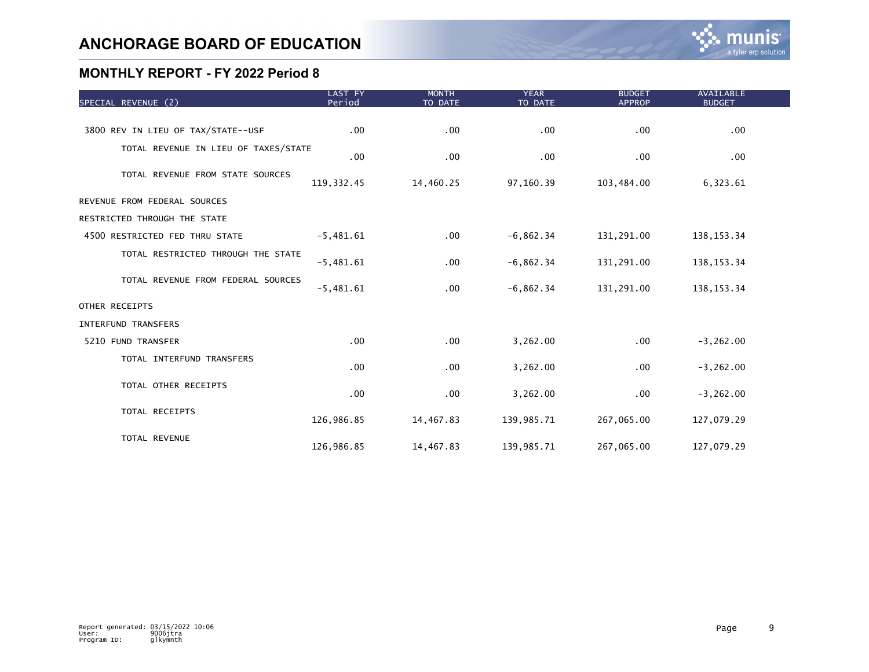| SPECIAL REVENUE (2)                  | LAST FY<br>Period | <b>MONTH</b><br>TO DATE | <b>YEAR</b><br>TO DATE | <b>BUDGET</b><br><b>APPROP</b> | <b>AVAILABLE</b><br><b>BUDGET</b> |  |
|--------------------------------------|-------------------|-------------------------|------------------------|--------------------------------|-----------------------------------|--|
|                                      |                   |                         |                        |                                |                                   |  |
| 3800 REV IN LIEU OF TAX/STATE--USF   | $.00 \,$          | .00                     | .00                    | .00.                           | .00                               |  |
| TOTAL REVENUE IN LIEU OF TAXES/STATE | .00               | .00                     | .00                    | .00.                           | .00                               |  |
| TOTAL REVENUE FROM STATE SOURCES     | 119, 332.45       | 14,460.25               | 97,160.39              | 103,484.00                     | 6,323.61                          |  |
| REVENUE FROM FEDERAL SOURCES         |                   |                         |                        |                                |                                   |  |
| RESTRICTED THROUGH THE STATE         |                   |                         |                        |                                |                                   |  |
| 4500 RESTRICTED FED THRU STATE       | $-5,481.61$       | .00                     | $-6,862.34$            | 131,291.00                     | 138, 153. 34                      |  |
| TOTAL RESTRICTED THROUGH THE STATE   | $-5,481.61$       | .00                     | $-6,862.34$            | 131,291.00                     | 138, 153. 34                      |  |
| TOTAL REVENUE FROM FEDERAL SOURCES   | $-5,481.61$       | .00                     | $-6,862.34$            | 131,291.00                     | 138, 153. 34                      |  |
| OTHER RECEIPTS                       |                   |                         |                        |                                |                                   |  |
| <b>INTERFUND TRANSFERS</b>           |                   |                         |                        |                                |                                   |  |
| 5210 FUND TRANSFER                   | .00 <sub>1</sub>  | .00                     | 3,262.00               | .00                            | $-3, 262.00$                      |  |
| TOTAL INTERFUND TRANSFERS            | .00               | .00                     | 3,262.00               | $.00 \,$                       | $-3, 262.00$                      |  |
| TOTAL OTHER RECEIPTS                 | .00               | .00                     | 3,262.00               | $.00 \,$                       | $-3, 262.00$                      |  |
| TOTAL RECEIPTS                       | 126,986.85        | 14,467.83               | 139,985.71             | 267,065.00                     | 127,079.29                        |  |
| TOTAL REVENUE                        | 126,986.85        | 14,467.83               | 139,985.71             | 267,065.00                     | 127,079.29                        |  |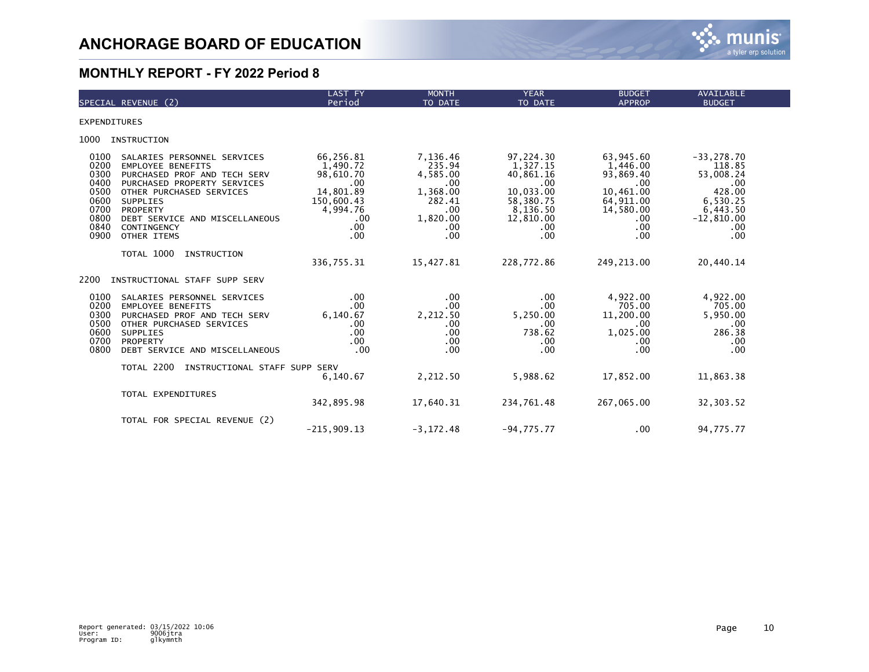

|                                                                              | SPECIAL REVENUE (2)                                                                                                                                                                                                                               | LAST FY<br>Period                                                                                                  | <b>MONTH</b><br>TO DATE                                                                            | <b>YEAR</b><br>TO DATE                                                                                             | <b>BUDGET</b><br><b>APPROP</b>                                                                              | <b>AVAILABLE</b><br><b>BUDGET</b>                                                                           |
|------------------------------------------------------------------------------|---------------------------------------------------------------------------------------------------------------------------------------------------------------------------------------------------------------------------------------------------|--------------------------------------------------------------------------------------------------------------------|----------------------------------------------------------------------------------------------------|--------------------------------------------------------------------------------------------------------------------|-------------------------------------------------------------------------------------------------------------|-------------------------------------------------------------------------------------------------------------|
| <b>EXPENDITURES</b>                                                          |                                                                                                                                                                                                                                                   |                                                                                                                    |                                                                                                    |                                                                                                                    |                                                                                                             |                                                                                                             |
| 1000                                                                         | INSTRUCTION                                                                                                                                                                                                                                       |                                                                                                                    |                                                                                                    |                                                                                                                    |                                                                                                             |                                                                                                             |
| 0100<br>0200<br>0300<br>0400<br>0500<br>0600<br>0700<br>0800<br>0840<br>0900 | SALARIES PERSONNEL SERVICES<br><b>EMPLOYEE BENEFITS</b><br>PURCHASED PROF AND TECH SERV<br>PURCHASED PROPERTY SERVICES<br>OTHER PURCHASED SERVICES<br><b>SUPPLIES</b><br>PROPERTY<br>DEBT SERVICE AND MISCELLANEOUS<br>CONTINGENCY<br>OTHER ITEMS | 66,256.81<br>1,490.72<br>98,610.70<br>.00<br>14,801.89<br>150,600.43<br>4,994.76<br>.00<br>.00 <sub>1</sub><br>.00 | 7,136.46<br>235.94<br>4,585.00<br>.00<br>1,368.00<br>282.41<br>$.00 \,$<br>1,820.00<br>.00.<br>.00 | 97,224.30<br>1,327.15<br>40,861.16<br>$00$ .<br>10,033.00<br>58,380.75<br>8,136.50<br>12,810.00<br>$.00 \,$<br>.00 | 63,945.60<br>1,446.00<br>93,869.40<br>.00.<br>10,461.00<br>64,911.00<br>14,580.00<br>$.00 \,$<br>.00<br>.00 | $-33, 278.70$<br>118.85<br>53,008.24<br>.00<br>428.00<br>6,530.25<br>6,443.50<br>$-12,810.00$<br>.00<br>.00 |
|                                                                              | TOTAL 1000<br>INSTRUCTION                                                                                                                                                                                                                         | 336,755.31                                                                                                         | 15,427.81                                                                                          | 228,772.86                                                                                                         | 249,213.00                                                                                                  | 20,440.14                                                                                                   |
| 2200                                                                         | INSTRUCTIONAL STAFF SUPP SERV                                                                                                                                                                                                                     |                                                                                                                    |                                                                                                    |                                                                                                                    |                                                                                                             |                                                                                                             |
| 0100<br>0200<br>0300<br>0500<br>0600<br>0700<br>0800                         | SALARIES PERSONNEL SERVICES<br><b>EMPLOYEE BENEFITS</b><br>PURCHASED PROF AND TECH SERV<br>OTHER PURCHASED SERVICES<br><b>SUPPLIES</b><br>PROPERTY<br>DEBT SERVICE AND MISCELLANEOUS                                                              | .00<br>.00<br>6.140.67<br>.00<br>.00<br>.00 <sub>1</sub><br>.00                                                    | .00.<br>.00 <sub>1</sub><br>2,212.50<br>.00.<br>.00 <sub>1</sub><br>.00.<br>$.00 \,$               | .00<br>.00<br>5,250.00<br>.00<br>738.62<br>.00<br>.00                                                              | 4,922.00<br>705.00<br>11,200.00<br>.00<br>1,025.00<br>.00.<br>.00                                           | 4,922.00<br>705.00<br>5,950.00<br>.00<br>286.38<br>.00<br>.00                                               |
|                                                                              | TOTAL 2200<br>INSTRUCTIONAL STAFF SUPP SERV                                                                                                                                                                                                       | 6,140.67                                                                                                           | 2,212.50                                                                                           | 5,988.62                                                                                                           | 17,852.00                                                                                                   | 11,863.38                                                                                                   |
|                                                                              | TOTAL EXPENDITURES                                                                                                                                                                                                                                | 342,895.98                                                                                                         | 17,640.31                                                                                          | 234,761.48                                                                                                         | 267,065.00                                                                                                  | 32,303.52                                                                                                   |
|                                                                              | TOTAL FOR SPECIAL REVENUE (2)                                                                                                                                                                                                                     | $-215,909.13$                                                                                                      | $-3, 172.48$                                                                                       | $-94,775.77$                                                                                                       | .00                                                                                                         | 94,775.77                                                                                                   |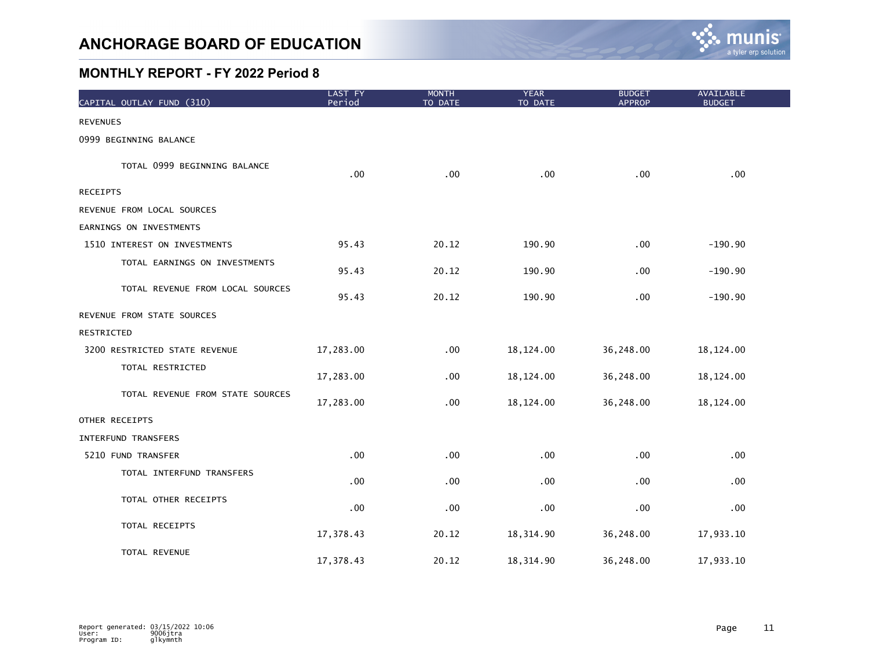

| CAPITAL OUTLAY FUND (310)        | LAST FY<br>Period | <b>MONTH</b><br>TO DATE | <b>YEAR</b><br>TO DATE | <b>BUDGET</b><br><b>APPROP</b> | <b>AVAILABLE</b><br><b>BUDGET</b> |  |
|----------------------------------|-------------------|-------------------------|------------------------|--------------------------------|-----------------------------------|--|
| <b>REVENUES</b>                  |                   |                         |                        |                                |                                   |  |
| 0999 BEGINNING BALANCE           |                   |                         |                        |                                |                                   |  |
| TOTAL 0999 BEGINNING BALANCE     | .00               | .00                     | .00                    | .00                            | .00                               |  |
| <b>RECEIPTS</b>                  |                   |                         |                        |                                |                                   |  |
| REVENUE FROM LOCAL SOURCES       |                   |                         |                        |                                |                                   |  |
| EARNINGS ON INVESTMENTS          |                   |                         |                        |                                |                                   |  |
| 1510 INTEREST ON INVESTMENTS     | 95.43             | 20.12                   | 190.90                 | .00                            | $-190.90$                         |  |
| TOTAL EARNINGS ON INVESTMENTS    | 95.43             | 20.12                   | 190.90                 | .00                            | $-190.90$                         |  |
| TOTAL REVENUE FROM LOCAL SOURCES | 95.43             | 20.12                   | 190.90                 | .00                            | $-190.90$                         |  |
| REVENUE FROM STATE SOURCES       |                   |                         |                        |                                |                                   |  |
| RESTRICTED                       |                   |                         |                        |                                |                                   |  |
| 3200 RESTRICTED STATE REVENUE    | 17,283.00         | .00                     | 18,124.00              | 36,248.00                      | 18,124.00                         |  |
| TOTAL RESTRICTED                 | 17,283.00         | .00                     | 18,124.00              | 36,248.00                      | 18, 124.00                        |  |
| TOTAL REVENUE FROM STATE SOURCES | 17,283.00         | .00                     | 18,124.00              | 36,248.00                      | 18,124.00                         |  |
| OTHER RECEIPTS                   |                   |                         |                        |                                |                                   |  |
| <b>INTERFUND TRANSFERS</b>       |                   |                         |                        |                                |                                   |  |
| 5210 FUND TRANSFER               | .00 <sub>1</sub>  | .00                     | .00                    | .00                            | .00                               |  |
| TOTAL INTERFUND TRANSFERS        | .00               | .00                     | .00                    | .00                            | .00                               |  |
| TOTAL OTHER RECEIPTS             | .00               | .00                     | .00                    | .00                            | .00                               |  |
| TOTAL RECEIPTS                   | 17,378.43         | 20.12                   | 18, 314.90             | 36,248.00                      | 17,933.10                         |  |
| TOTAL REVENUE                    | 17,378.43         | 20.12                   | 18,314.90              | 36,248.00                      | 17,933.10                         |  |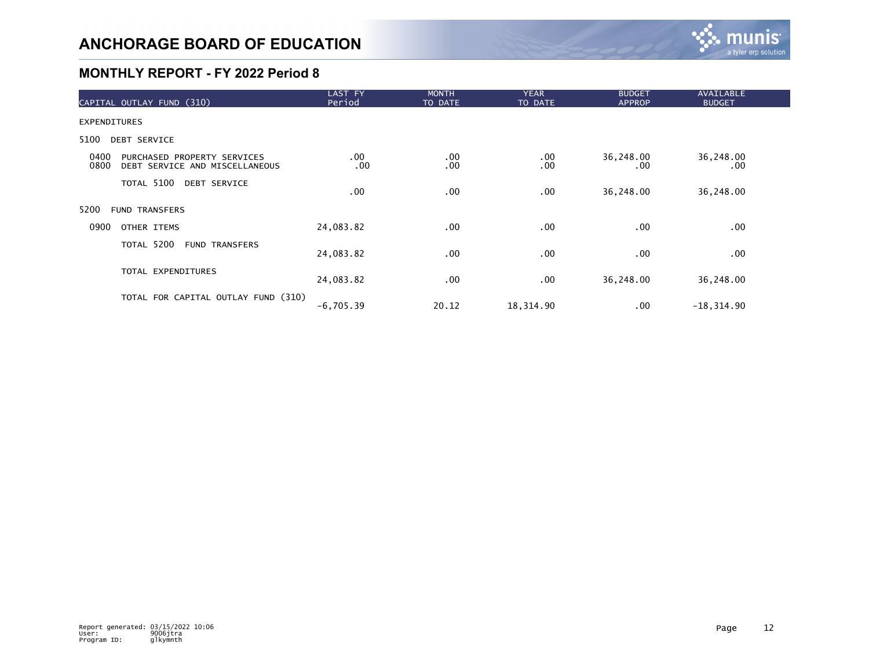

| CAPITAL OUTLAY FUND (310)                                                     | <b>LAST FY</b><br>Period | <b>MONTH</b><br>TO DATE | <b>YEAR</b><br>TO DATE | <b>BUDGET</b><br><b>APPROP</b> | AVAILABLE<br><b>BUDGET</b> |  |
|-------------------------------------------------------------------------------|--------------------------|-------------------------|------------------------|--------------------------------|----------------------------|--|
| <b>EXPENDITURES</b>                                                           |                          |                         |                        |                                |                            |  |
| 5100<br>DEBT SERVICE                                                          |                          |                         |                        |                                |                            |  |
| 0400<br>PURCHASED PROPERTY SERVICES<br>0800<br>DEBT SERVICE AND MISCELLANEOUS | $.00 \,$<br>.00          | .00<br>.00              | $.00 \,$<br>.00        | 36,248.00<br>.00               | 36,248.00<br>$.00 \,$      |  |
| TOTAL 5100<br><b>DEBT SERVICE</b>                                             | .00                      | .00                     | $.00 \,$               | 36,248.00                      | 36,248.00                  |  |
| 5200<br><b>FUND TRANSFERS</b>                                                 |                          |                         |                        |                                |                            |  |
| 0900<br>OTHER ITEMS                                                           | 24,083.82                | .00                     | $.00 \,$               | .00.                           | $.00 \,$                   |  |
| TOTAL 5200<br><b>FUND TRANSFERS</b>                                           | 24,083.82                | .00                     | .00                    | .00                            | $.00 \,$                   |  |
| TOTAL EXPENDITURES                                                            | 24,083.82                | .00.                    | $.00 \,$               | 36,248.00                      | 36,248.00                  |  |
| TOTAL FOR CAPITAL OUTLAY FUND (310)                                           | $-6,705.39$              | 20.12                   | 18,314.90              | .00.                           | $-18, 314.90$              |  |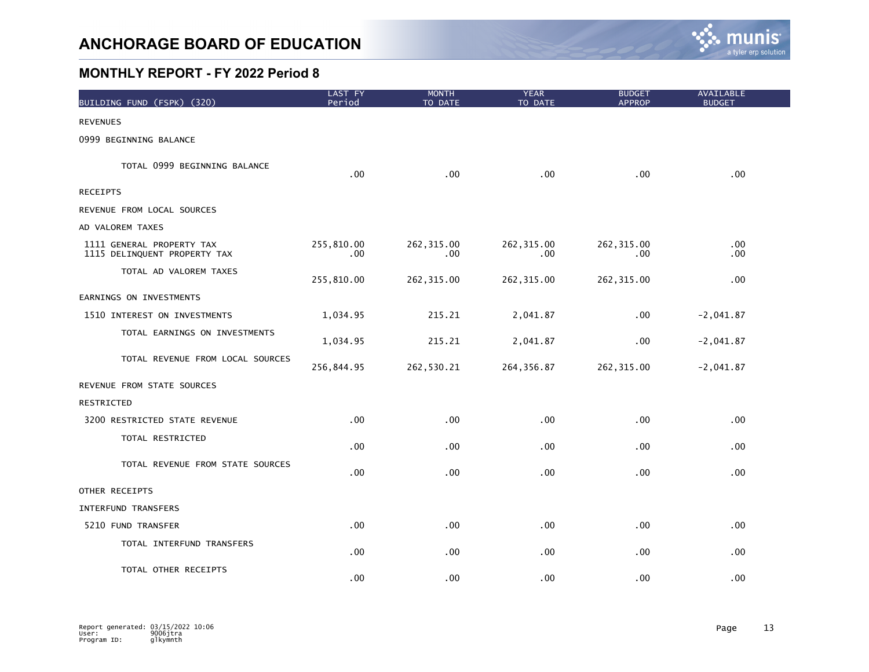

| BUILDING FUND (FSPK) (320)                                | LAST FY<br>Period      | <b>MONTH</b><br>TO DATE | <b>YEAR</b><br>TO DATE | <b>BUDGET</b><br><b>APPROP</b> | AVAILABLE<br><b>BUDGET</b> |
|-----------------------------------------------------------|------------------------|-------------------------|------------------------|--------------------------------|----------------------------|
| <b>REVENUES</b>                                           |                        |                         |                        |                                |                            |
| 0999 BEGINNING BALANCE                                    |                        |                         |                        |                                |                            |
| TOTAL 0999 BEGINNING BALANCE                              | .00                    | .00                     | .00                    | .00                            | .00                        |
| <b>RECEIPTS</b>                                           |                        |                         |                        |                                |                            |
| REVENUE FROM LOCAL SOURCES                                |                        |                         |                        |                                |                            |
| AD VALOREM TAXES                                          |                        |                         |                        |                                |                            |
| 1111 GENERAL PROPERTY TAX<br>1115 DELINQUENT PROPERTY TAX | 255,810.00<br>$.00 \,$ | 262, 315.00<br>.00      | 262, 315.00<br>.00     | 262, 315.00<br>.00             | $.00 \,$<br>$.00 \,$       |
| TOTAL AD VALOREM TAXES                                    | 255,810.00             | 262, 315.00             | 262, 315.00            | 262, 315.00                    | .00                        |
| EARNINGS ON INVESTMENTS                                   |                        |                         |                        |                                |                            |
| 1510 INTEREST ON INVESTMENTS                              | 1,034.95               | 215.21                  | 2,041.87               | .00                            | $-2,041.87$                |
| TOTAL EARNINGS ON INVESTMENTS                             | 1,034.95               | 215.21                  | 2,041.87               | .00                            | $-2,041.87$                |
| TOTAL REVENUE FROM LOCAL SOURCES                          | 256,844.95             | 262,530.21              | 264, 356.87            | 262, 315.00                    | $-2,041.87$                |
| REVENUE FROM STATE SOURCES                                |                        |                         |                        |                                |                            |
| RESTRICTED                                                |                        |                         |                        |                                |                            |
| 3200 RESTRICTED STATE REVENUE                             | .00                    | .00                     | .00                    | .00                            | .00                        |
| TOTAL RESTRICTED                                          | .00 <sub>1</sub>       | .00                     | .00                    | .00                            | .00                        |
| TOTAL REVENUE FROM STATE SOURCES                          | .00 <sub>1</sub>       | .00                     | .00                    | .00                            | .00 <sub>1</sub>           |
| OTHER RECEIPTS                                            |                        |                         |                        |                                |                            |
| INTERFUND TRANSFERS                                       |                        |                         |                        |                                |                            |
| 5210 FUND TRANSFER                                        | $.00 \,$               | .00                     | $.00 \,$               | .00                            | $.00 \,$                   |
| TOTAL INTERFUND TRANSFERS                                 | .00 <sub>1</sub>       | .00                     | $.00 \,$               | .00                            | .00                        |
| TOTAL OTHER RECEIPTS                                      | .00 <sub>1</sub>       | .00                     | .00                    | .00                            | .00                        |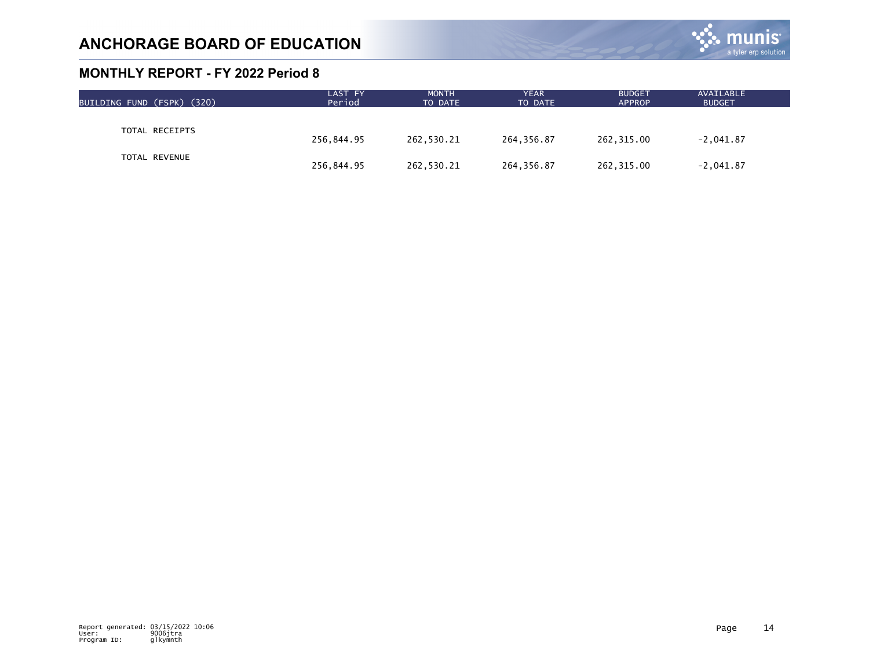

| BUILDING FUND (FSPK) (320) | LAST FY<br>Period | <b>MONTH</b><br>TO DATE | <b>YEAR</b><br>TO DATE | <b>BUDGET</b><br><b>APPROP</b> | AVAILABLE<br><b>BUDGET</b> |  |
|----------------------------|-------------------|-------------------------|------------------------|--------------------------------|----------------------------|--|
|                            |                   |                         |                        |                                |                            |  |
| TOTAL RECEIPTS             | 256,844.95        | 262,530.21              | 264,356.87             | 262,315.00                     | $-2,041.87$                |  |
| TOTAL REVENUE              | 256,844.95        | 262,530.21              | 264,356.87             | 262,315.00                     | $-2,041.87$                |  |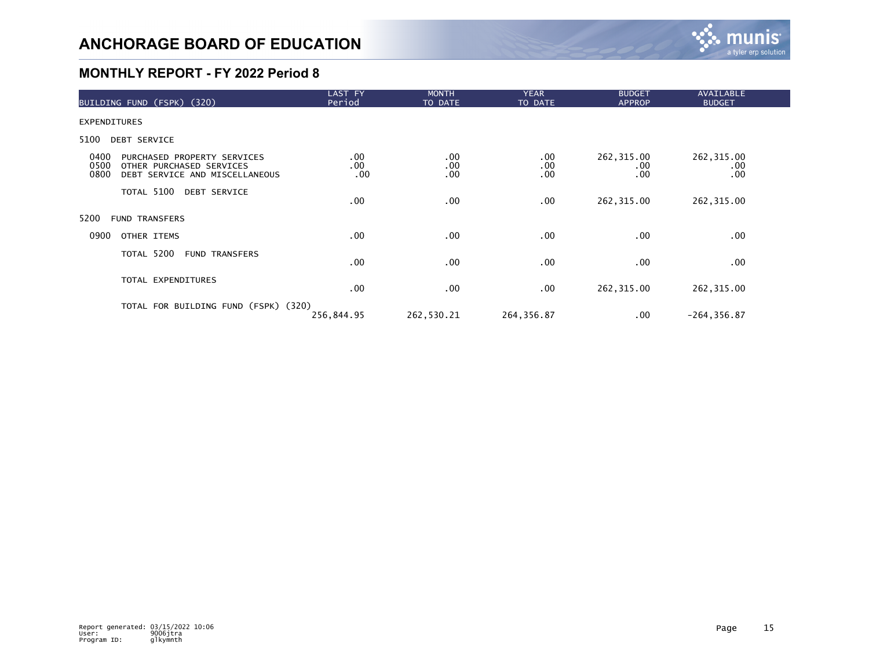

| BUILDING FUND (FSPK) (320)                                                                                        | LAST FY<br>Period | <b>MONTH</b><br>TO DATE | <b>YEAR</b><br>TO DATE      | <b>BUDGET</b><br><b>APPROP</b> | AVAILABLE<br><b>BUDGET</b> |  |
|-------------------------------------------------------------------------------------------------------------------|-------------------|-------------------------|-----------------------------|--------------------------------|----------------------------|--|
| <b>EXPENDITURES</b>                                                                                               |                   |                         |                             |                                |                            |  |
| 5100<br>DEBT SERVICE                                                                                              |                   |                         |                             |                                |                            |  |
| 0400<br>PURCHASED PROPERTY SERVICES<br>0500<br>OTHER PURCHASED SERVICES<br>0800<br>DEBT SERVICE AND MISCELLANEOUS | .00<br>.00<br>.00 | $.00 \,$<br>.00<br>.00  | $.00 \,$<br>.00<br>$.00 \,$ | 262,315.00<br>$.00 \,$<br>.00  | 262, 315.00<br>.00<br>.00  |  |
| TOTAL 5100 DEBT SERVICE                                                                                           | .00               | .00                     | $.00 \,$                    | 262,315.00                     | 262, 315.00                |  |
| 5200<br><b>FUND TRANSFERS</b>                                                                                     |                   |                         |                             |                                |                            |  |
| 0900<br>OTHER ITEMS                                                                                               | .00               | $.00 \,$                | $.00 \,$                    | $.00 \,$                       | .00                        |  |
| TOTAL 5200<br><b>FUND TRANSFERS</b>                                                                               | .00               | $.00 \,$                | .00                         | .00.                           | .00                        |  |
| TOTAL EXPENDITURES                                                                                                | .00               | $.00 \,$                | $.00 \,$                    | 262, 315.00                    | 262, 315.00                |  |
| TOTAL FOR BUILDING FUND (FSPK) (320)                                                                              | 256,844.95        | 262,530.21              | 264, 356.87                 | $.00 \,$                       | $-264, 356.87$             |  |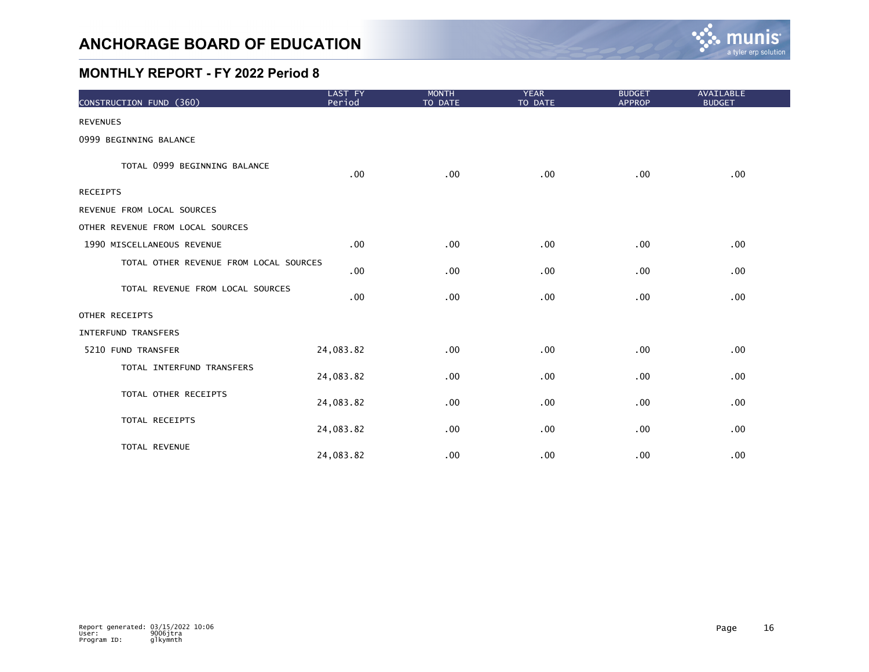

| CONSTRUCTION FUND (360)                | LAST FY<br>Period | <b>MONTH</b><br>TO DATE | <b>YEAR</b><br>TO DATE | <b>BUDGET</b><br><b>APPROP</b> | AVAILABLE<br><b>BUDGET</b> |
|----------------------------------------|-------------------|-------------------------|------------------------|--------------------------------|----------------------------|
| <b>REVENUES</b>                        |                   |                         |                        |                                |                            |
| 0999 BEGINNING BALANCE                 |                   |                         |                        |                                |                            |
| TOTAL 0999 BEGINNING BALANCE           | .00               | .00                     | .00                    | .00                            | .00                        |
| <b>RECEIPTS</b>                        |                   |                         |                        |                                |                            |
| REVENUE FROM LOCAL SOURCES             |                   |                         |                        |                                |                            |
| OTHER REVENUE FROM LOCAL SOURCES       |                   |                         |                        |                                |                            |
| 1990 MISCELLANEOUS REVENUE             | .00               | .00                     | .00                    | .00                            | .00                        |
| TOTAL OTHER REVENUE FROM LOCAL SOURCES | .00               | .00                     | .00                    | .00                            | .00                        |
| TOTAL REVENUE FROM LOCAL SOURCES       | .00               | .00                     | .00                    | .00                            | .00                        |
| OTHER RECEIPTS                         |                   |                         |                        |                                |                            |
| <b>INTERFUND TRANSFERS</b>             |                   |                         |                        |                                |                            |
| 5210 FUND TRANSFER                     | 24,083.82         | .00                     | .00                    | .00                            | .00                        |
| TOTAL INTERFUND TRANSFERS              | 24,083.82         | .00                     | .00                    | .00                            | .00                        |
| TOTAL OTHER RECEIPTS                   | 24,083.82         | .00                     | .00                    | .00                            | .00                        |
| TOTAL RECEIPTS                         | 24,083.82         | .00                     | .00                    | .00                            | .00                        |
| TOTAL REVENUE                          | 24,083.82         | .00                     | .00                    | .00                            | .00                        |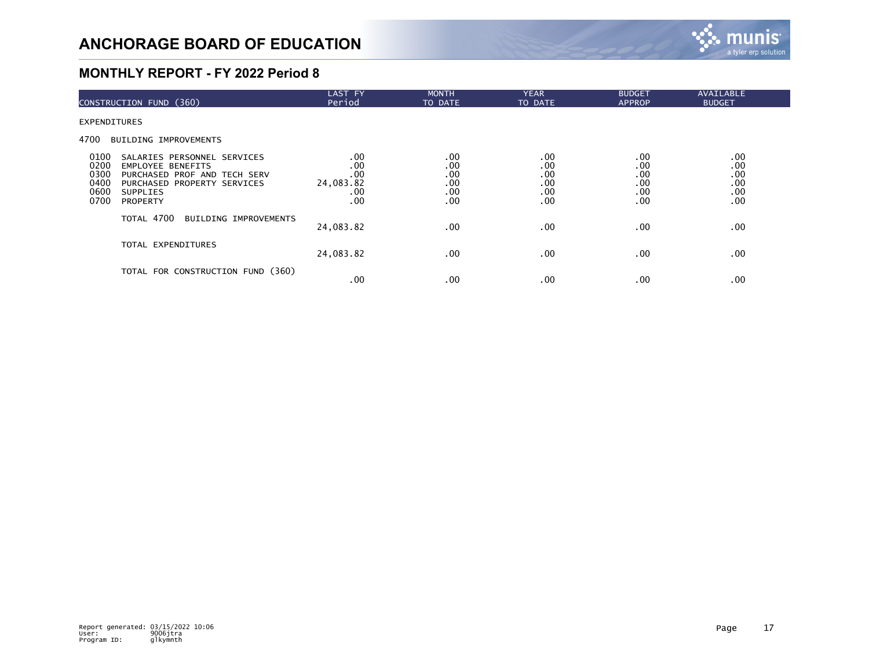

| CONSTRUCTION FUND (360)                                                                                                                                                                                      | <b>LAST FY</b><br>Period                          | <b>MONTH</b><br>TO DATE                | <b>YEAR</b><br>TO DATE                 | <b>BUDGET</b><br><b>APPROP</b>         | AVAILABLE<br><b>BUDGET</b>             |  |
|--------------------------------------------------------------------------------------------------------------------------------------------------------------------------------------------------------------|---------------------------------------------------|----------------------------------------|----------------------------------------|----------------------------------------|----------------------------------------|--|
| EXPENDITURES                                                                                                                                                                                                 |                                                   |                                        |                                        |                                        |                                        |  |
| 4700<br><b>BUILDING IMPROVEMENTS</b>                                                                                                                                                                         |                                                   |                                        |                                        |                                        |                                        |  |
| 0100<br>SALARIES PERSONNEL SERVICES<br>0200<br><b>EMPLOYEE BENEFITS</b><br>0300<br>PURCHASED PROF AND TECH SERV<br>0400<br>PURCHASED PROPERTY SERVICES<br>0600<br><b>SUPPLIES</b><br>0700<br><b>PROPERTY</b> | $.00 \,$<br>.00<br>.00<br>24,083.82<br>.00<br>.00 | .00<br>.00<br>.00<br>.00<br>.00<br>.00 | .00<br>.00<br>.00<br>.00<br>.00<br>.00 | .00<br>.00<br>.00<br>.00<br>.00<br>.00 | .00<br>.00<br>.00<br>.00<br>.00<br>.00 |  |
| TOTAL 4700<br>BUILDING IMPROVEMENTS                                                                                                                                                                          | 24,083.82                                         | $.00 \,$                               | .00                                    | .00                                    | .00                                    |  |
| TOTAL EXPENDITURES                                                                                                                                                                                           | 24,083.82                                         | $.00 \,$                               | .00                                    | .00                                    | .00                                    |  |
| TOTAL FOR CONSTRUCTION FUND (360)                                                                                                                                                                            | .00                                               | $.00 \,$                               | .00                                    | .00                                    | .00                                    |  |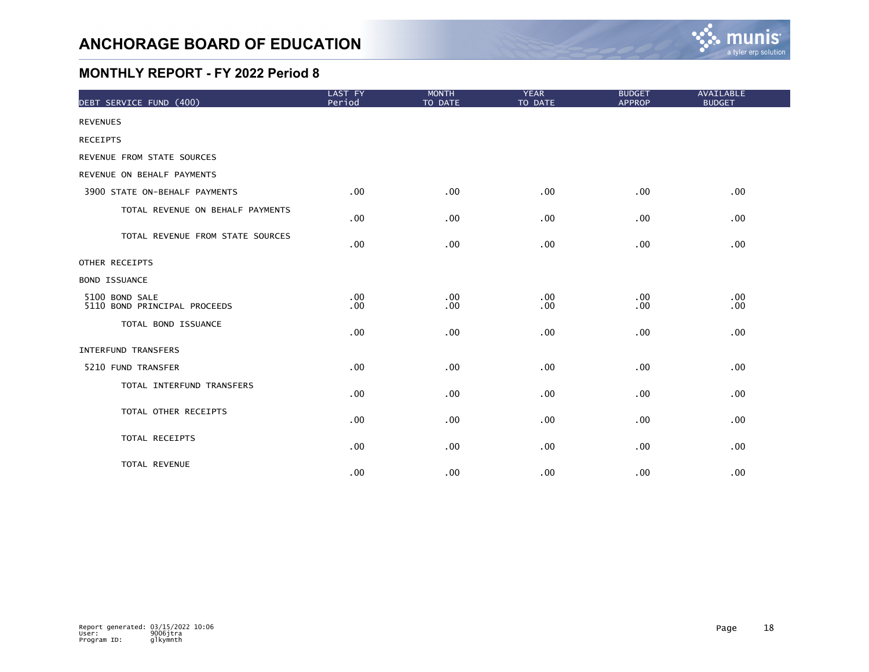

| DEBT SERVICE FUND (400)                        | LAST FY<br>Period | <b>MONTH</b><br>TO DATE | <b>YEAR</b><br>TO DATE | <b>BUDGET</b><br><b>APPROP</b> | <b>AVAILABLE</b><br><b>BUDGET</b> |
|------------------------------------------------|-------------------|-------------------------|------------------------|--------------------------------|-----------------------------------|
| <b>REVENUES</b>                                |                   |                         |                        |                                |                                   |
| <b>RECEIPTS</b>                                |                   |                         |                        |                                |                                   |
| REVENUE FROM STATE SOURCES                     |                   |                         |                        |                                |                                   |
| REVENUE ON BEHALF PAYMENTS                     |                   |                         |                        |                                |                                   |
| 3900 STATE ON-BEHALF PAYMENTS                  | .00               | .00                     | .00                    | .00                            | .00                               |
| TOTAL REVENUE ON BEHALF PAYMENTS               | .00               | .00                     | .00                    | .00                            | .00                               |
| TOTAL REVENUE FROM STATE SOURCES               | .00               | .00                     | .00                    | .00                            | .00                               |
| OTHER RECEIPTS                                 |                   |                         |                        |                                |                                   |
| <b>BOND ISSUANCE</b>                           |                   |                         |                        |                                |                                   |
| 5100 BOND SALE<br>5110 BOND PRINCIPAL PROCEEDS | .00<br>$.00 \,$   | .00<br>.00              | .00<br>.00             | .00<br>.00                     | .00<br>.00                        |
| TOTAL BOND ISSUANCE                            | $.00 \,$          | .00                     | .00                    | .00                            | .00                               |
| INTERFUND TRANSFERS                            |                   |                         |                        |                                |                                   |
| 5210 FUND TRANSFER                             | .00               | .00                     | .00                    | .00                            | .00                               |
| TOTAL INTERFUND TRANSFERS                      | .00               | .00                     | $.00 \,$               | .00.                           | .00                               |
| TOTAL OTHER RECEIPTS                           | .00 <sub>1</sub>  | .00                     | .00                    | .00                            | .00                               |
| TOTAL RECEIPTS                                 | $.00 \,$          | .00                     | $.00 \,$               | .00                            | .00                               |
| TOTAL REVENUE                                  | .00               | .00                     | .00                    | .00                            | .00                               |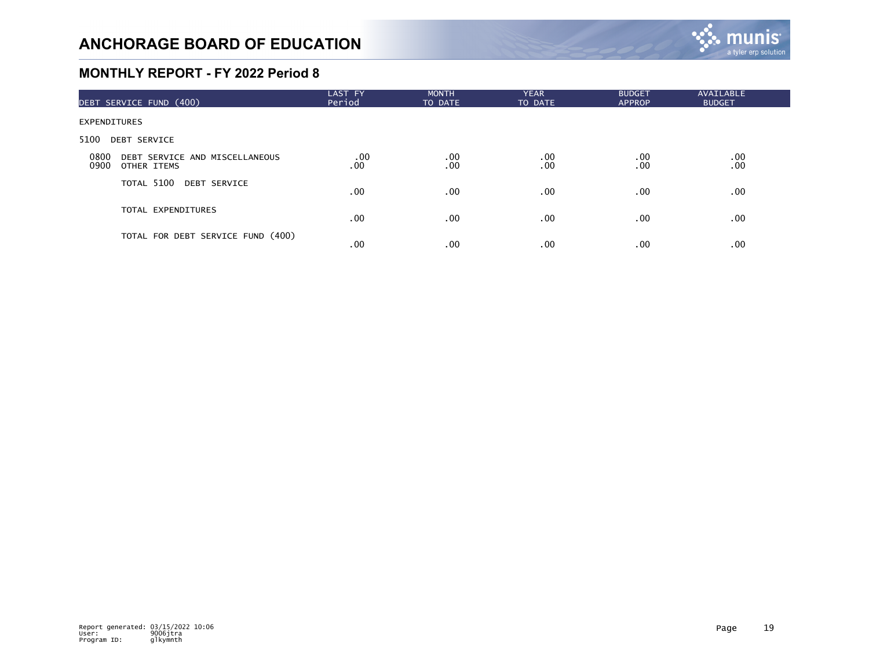

| DEBT SERVICE FUND (400)                                       | LAST FY<br>Period | <b>MONTH</b><br>TO DATE | <b>YEAR</b><br>TO DATE | <b>BUDGET</b><br><b>APPROP</b> | AVAILABLE<br><b>BUDGET</b>                  |  |
|---------------------------------------------------------------|-------------------|-------------------------|------------------------|--------------------------------|---------------------------------------------|--|
| <b>EXPENDITURES</b>                                           |                   |                         |                        |                                |                                             |  |
| 5100<br><b>DEBT SERVICE</b>                                   |                   |                         |                        |                                |                                             |  |
| 0800<br>DEBT SERVICE AND MISCELLANEOUS<br>0900<br>OTHER ITEMS | .00<br>.00        | .00<br>.00              | $.00 \,$<br>.00        | .00<br>.00                     | $\begin{array}{c} 0.00 \\ -0.0 \end{array}$ |  |
| TOTAL 5100 DEBT SERVICE                                       | $.00 \,$          | $.00 \,$                | $.00 \,$               | .00                            | .00                                         |  |
| TOTAL EXPENDITURES                                            | $.00 \,$          | $.00 \,$                | $.00 \,$               | .00                            | .00                                         |  |
| TOTAL FOR DEBT SERVICE FUND (400)                             | .00               | .00                     | .00                    | .00                            | .00                                         |  |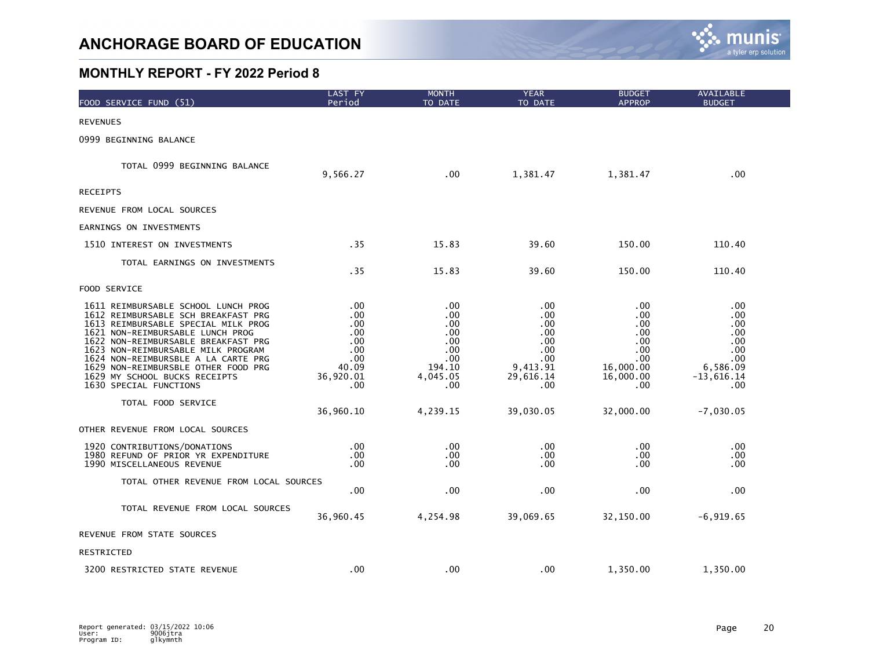

| FOOD SERVICE FUND (51)                                                                                                                                                                                                                                                                                                                                                      | LAST FY<br>Period                                                          | <b>MONTH</b><br>TO DATE                                                    | <b>YEAR</b><br>TO DATE                                                        | <b>BUDGET</b><br><b>APPROP</b>                                                  | AVAILABLE<br><b>BUDGET</b>                                                               |  |
|-----------------------------------------------------------------------------------------------------------------------------------------------------------------------------------------------------------------------------------------------------------------------------------------------------------------------------------------------------------------------------|----------------------------------------------------------------------------|----------------------------------------------------------------------------|-------------------------------------------------------------------------------|---------------------------------------------------------------------------------|------------------------------------------------------------------------------------------|--|
| <b>REVENUES</b>                                                                                                                                                                                                                                                                                                                                                             |                                                                            |                                                                            |                                                                               |                                                                                 |                                                                                          |  |
| 0999 BEGINNING BALANCE                                                                                                                                                                                                                                                                                                                                                      |                                                                            |                                                                            |                                                                               |                                                                                 |                                                                                          |  |
| TOTAL 0999 BEGINNING BALANCE                                                                                                                                                                                                                                                                                                                                                | 9,566.27                                                                   | .00                                                                        | 1,381.47                                                                      | 1,381.47                                                                        | .00                                                                                      |  |
| <b>RECEIPTS</b>                                                                                                                                                                                                                                                                                                                                                             |                                                                            |                                                                            |                                                                               |                                                                                 |                                                                                          |  |
| REVENUE FROM LOCAL SOURCES                                                                                                                                                                                                                                                                                                                                                  |                                                                            |                                                                            |                                                                               |                                                                                 |                                                                                          |  |
| EARNINGS ON INVESTMENTS                                                                                                                                                                                                                                                                                                                                                     |                                                                            |                                                                            |                                                                               |                                                                                 |                                                                                          |  |
| 1510 INTEREST ON INVESTMENTS                                                                                                                                                                                                                                                                                                                                                | .35                                                                        | 15.83                                                                      | 39.60                                                                         | 150.00                                                                          | 110.40                                                                                   |  |
| TOTAL EARNINGS ON INVESTMENTS                                                                                                                                                                                                                                                                                                                                               | .35                                                                        | 15.83                                                                      | 39.60                                                                         | 150.00                                                                          | 110.40                                                                                   |  |
| <b>FOOD SERVICE</b>                                                                                                                                                                                                                                                                                                                                                         |                                                                            |                                                                            |                                                                               |                                                                                 |                                                                                          |  |
| 1611 REIMBURSABLE SCHOOL LUNCH PROG<br>1612 REIMBURSABLE SCH BREAKFAST PRG<br>1613 REIMBURSABLE SPECIAL MILK PROG<br>1621 NON-REIMBURSABLE LUNCH PROG<br>1622 NON-REIMBURSABLE BREAKFAST PRG<br>1623 NON-REIMBURSABLE MILK PROGRAM<br>1624 NON-REIMBURSBLE A LA CARTE PRG<br>1629 NON-REIMBURSBLE OTHER FOOD PRG<br>1629 MY SCHOOL BUCKS RECEIPTS<br>1630 SPECIAL FUNCTIONS | .00<br>.00<br>.00<br>.00<br>.00<br>.00<br>.00<br>40.09<br>36,920.01<br>.00 | .00<br>.00<br>.00<br>.00<br>.00<br>.00<br>.00<br>194.10<br>4,045.05<br>.00 | .00<br>.00<br>.00<br>.00<br>.00<br>.00<br>.00<br>9,413.91<br>29,616.14<br>.00 | .00<br>.00<br>.00<br>.00<br>.00<br>.00<br>.00.<br>16,000.00<br>16,000.00<br>.00 | .00<br>$.00 \,$<br>.00<br>$.00 \,$<br>.00<br>.00<br>.00<br>6,586.09<br>-13,616.14<br>.00 |  |
| TOTAL FOOD SERVICE                                                                                                                                                                                                                                                                                                                                                          | 36,960.10                                                                  | 4,239.15                                                                   | 39,030.05                                                                     | 32,000.00                                                                       | $-7,030.05$                                                                              |  |
| OTHER REVENUE FROM LOCAL SOURCES                                                                                                                                                                                                                                                                                                                                            |                                                                            |                                                                            |                                                                               |                                                                                 |                                                                                          |  |
| 1920 CONTRIBUTIONS/DONATIONS<br>1980 REFUND OF PRIOR YR EXPENDITURE<br>1990 MISCELLANEOUS REVENUE                                                                                                                                                                                                                                                                           | .00<br>.00<br>.00                                                          | .00<br>.00<br>.00                                                          | .00<br>$.00 \,$<br>.00                                                        | .00<br>.00<br>.00                                                               | .00<br>.00<br>.00                                                                        |  |
| TOTAL OTHER REVENUE FROM LOCAL SOURCES                                                                                                                                                                                                                                                                                                                                      | .00                                                                        | .00                                                                        | .00                                                                           | .00                                                                             | .00                                                                                      |  |
| TOTAL REVENUE FROM LOCAL SOURCES                                                                                                                                                                                                                                                                                                                                            | 36,960.45                                                                  | 4,254.98                                                                   | 39,069.65                                                                     | 32,150.00                                                                       | $-6,919.65$                                                                              |  |
| REVENUE FROM STATE SOURCES                                                                                                                                                                                                                                                                                                                                                  |                                                                            |                                                                            |                                                                               |                                                                                 |                                                                                          |  |
| RESTRICTED                                                                                                                                                                                                                                                                                                                                                                  |                                                                            |                                                                            |                                                                               |                                                                                 |                                                                                          |  |
| 3200 RESTRICTED STATE REVENUE                                                                                                                                                                                                                                                                                                                                               | .00                                                                        | .00                                                                        | $.00 \,$                                                                      | 1,350.00                                                                        | 1,350.00                                                                                 |  |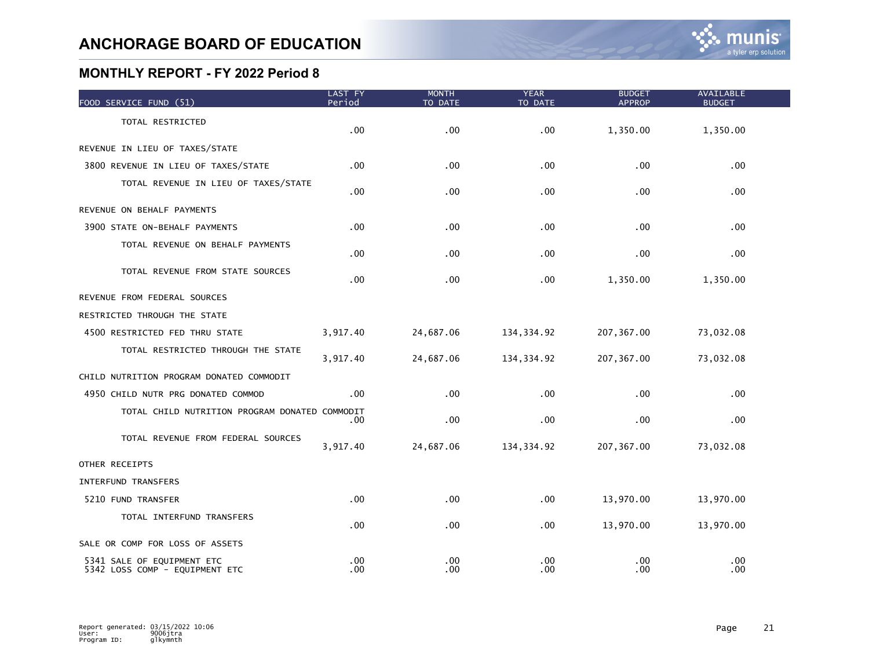| FOOD SERVICE FUND (51)                                       | <b>LAST FY</b><br>Period | <b>MONTH</b><br>TO DATE | YEAR<br>TO DATE | <b>BUDGET</b><br><b>APPROP</b> | <b>AVAILABLE</b><br><b>BUDGET</b> |  |
|--------------------------------------------------------------|--------------------------|-------------------------|-----------------|--------------------------------|-----------------------------------|--|
| TOTAL RESTRICTED                                             | .00                      | .00                     | .00             | 1,350.00                       | 1,350.00                          |  |
| REVENUE IN LIEU OF TAXES/STATE                               |                          |                         |                 |                                |                                   |  |
| 3800 REVENUE IN LIEU OF TAXES/STATE                          | .00                      | .00                     | .00             | .00                            | .00                               |  |
| TOTAL REVENUE IN LIEU OF TAXES/STATE                         | .00                      | .00                     | .00             | .00                            | .00                               |  |
| REVENUE ON BEHALF PAYMENTS                                   |                          |                         |                 |                                |                                   |  |
| 3900 STATE ON-BEHALF PAYMENTS                                | $.00 \,$                 | .00                     | .00             | .00                            | .00                               |  |
| TOTAL REVENUE ON BEHALF PAYMENTS                             | .00                      | .00                     | .00             | .00                            | .00                               |  |
| TOTAL REVENUE FROM STATE SOURCES                             | $.00 \,$                 | $.00 \,$                | .00             | 1,350.00                       | 1,350.00                          |  |
| REVENUE FROM FEDERAL SOURCES                                 |                          |                         |                 |                                |                                   |  |
| RESTRICTED THROUGH THE STATE                                 |                          |                         |                 |                                |                                   |  |
| 4500 RESTRICTED FED THRU STATE                               | 3,917.40                 | 24,687.06               | 134, 334.92     | 207, 367.00                    | 73,032.08                         |  |
| TOTAL RESTRICTED THROUGH THE STATE                           | 3,917.40                 | 24,687.06               | 134, 334.92     | 207, 367.00                    | 73,032.08                         |  |
| CHILD NUTRITION PROGRAM DONATED COMMODIT                     |                          |                         |                 |                                |                                   |  |
| 4950 CHILD NUTR PRG DONATED COMMOD                           | $.00 \,$                 | .00                     | .00             | .00                            | .00                               |  |
| TOTAL CHILD NUTRITION PROGRAM DONATED COMMODIT               | .00                      | .00                     | .00             | .00                            | .00                               |  |
| TOTAL REVENUE FROM FEDERAL SOURCES                           | 3,917.40                 | 24,687.06               | 134, 334.92     | 207, 367.00                    | 73,032.08                         |  |
| OTHER RECEIPTS                                               |                          |                         |                 |                                |                                   |  |
| <b>INTERFUND TRANSFERS</b>                                   |                          |                         |                 |                                |                                   |  |
| 5210 FUND TRANSFER                                           | .00                      | .00                     | .00             | 13,970.00                      | 13,970.00                         |  |
| TOTAL INTERFUND TRANSFERS                                    | .00                      | .00                     | .00             | 13,970.00                      | 13,970.00                         |  |
| SALE OR COMP FOR LOSS OF ASSETS                              |                          |                         |                 |                                |                                   |  |
| 5341 SALE OF EQUIPMENT ETC<br>5342 LOSS COMP - EQUIPMENT ETC | .00<br>.00               | .00<br>.00              | .00<br>.00      | .00<br>.00                     | .00<br>.00                        |  |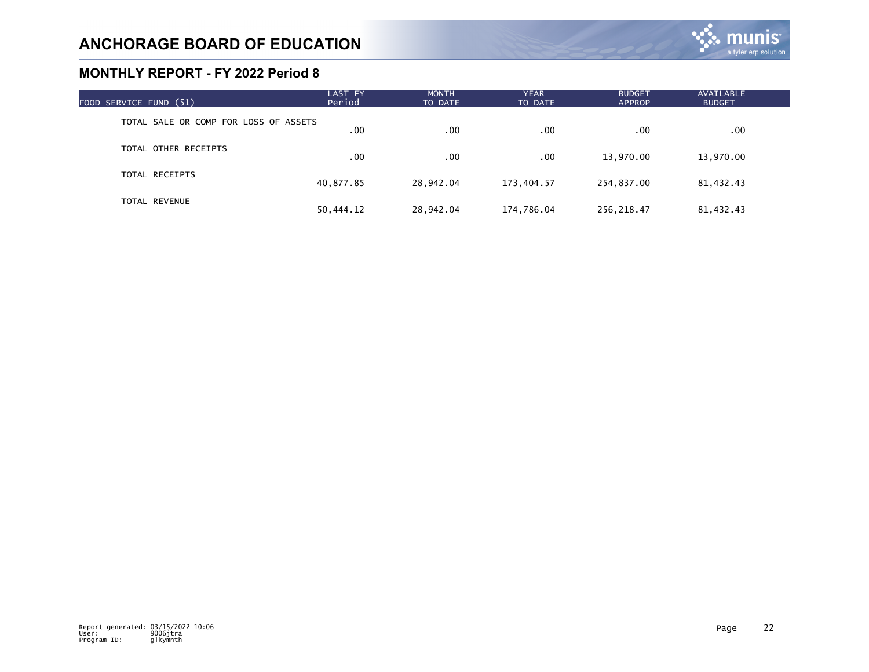| FOOD SERVICE FUND (51)                | LAST FY<br>Period | <b>MONTH</b><br>TO DATE | <b>YEAR</b><br>TO DATE | <b>BUDGET</b><br><b>APPROP</b> | AVAILABLE<br><b>BUDGET</b> |  |
|---------------------------------------|-------------------|-------------------------|------------------------|--------------------------------|----------------------------|--|
| TOTAL SALE OR COMP FOR LOSS OF ASSETS | .00               | .00                     | .00                    | .00                            | .00.                       |  |
| TOTAL OTHER RECEIPTS                  | .00               | .00                     | .00                    | 13,970.00                      | 13,970.00                  |  |
| TOTAL RECEIPTS                        | 40,877.85         | 28,942.04               | 173,404.57             | 254,837.00                     | 81,432.43                  |  |
| <b>TOTAL REVENUE</b>                  | 50,444.12         | 28.942.04               | 174,786.04             | 256, 218.47                    | 81,432.43                  |  |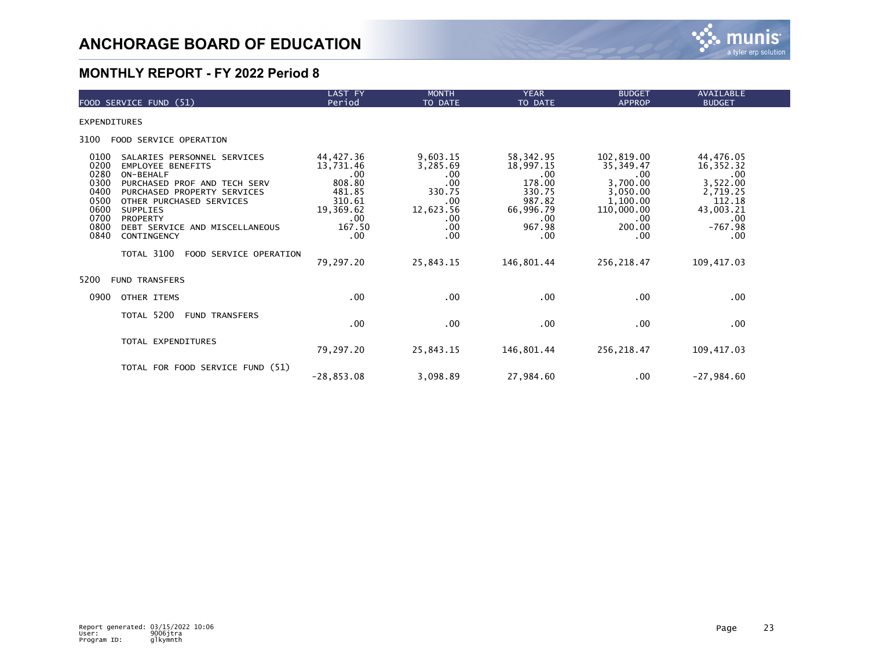

| FOOD SERVICE FUND (51)                                                                                                                                                                                                                                                                                                                                                         | <b>LAST FY</b><br>Period                                                                                       | <b>MONTH</b><br>TO DATE                                                                             | <b>YEAR</b><br>TO DATE                                                                                         | <b>BUDGET</b><br><b>APPROP</b>                                                                                            | <b>AVAILABLE</b><br><b>BUDGET</b>                                                                                      |
|--------------------------------------------------------------------------------------------------------------------------------------------------------------------------------------------------------------------------------------------------------------------------------------------------------------------------------------------------------------------------------|----------------------------------------------------------------------------------------------------------------|-----------------------------------------------------------------------------------------------------|----------------------------------------------------------------------------------------------------------------|---------------------------------------------------------------------------------------------------------------------------|------------------------------------------------------------------------------------------------------------------------|
| <b>EXPENDITURES</b>                                                                                                                                                                                                                                                                                                                                                            |                                                                                                                |                                                                                                     |                                                                                                                |                                                                                                                           |                                                                                                                        |
| 3100<br>FOOD SERVICE OPERATION                                                                                                                                                                                                                                                                                                                                                 |                                                                                                                |                                                                                                     |                                                                                                                |                                                                                                                           |                                                                                                                        |
| 0100<br>SALARIES PERSONNEL SERVICES<br>0200<br><b>EMPLOYEE BENEFITS</b><br>0280<br>ON-BEHALF<br>0300<br>PURCHASED PROF AND TECH SERV<br>0400<br>PURCHASED PROPERTY SERVICES<br>0500<br>OTHER PURCHASED SERVICES<br>0600<br><b>SUPPLIES</b><br>0700<br><b>PROPERTY</b><br>0800<br>DEBT SERVICE AND MISCELLANEOUS<br>0840<br>CONTINGENCY<br>TOTAL 3100<br>FOOD SERVICE OPERATION | 44, 427.36<br>13,731.46<br>.00<br>808.80<br>481.85<br>310.61<br>19,369.62<br>.00<br>167.50<br>.00<br>79,297.20 | 9,603.15<br>3,285.69<br>.00<br>.00<br>330.75<br>.00<br>12,623.56<br>.00<br>.00<br>.00.<br>25,843.15 | 58,342.95<br>18,997.15<br>.00<br>178.00<br>330.75<br>987.82<br>66,996.79<br>.00<br>967.98<br>.00<br>146,801.44 | 102,819.00<br>35,349.47<br>.00.<br>3,700.00<br>3,050.00<br>1,100.00<br>110,000.00<br>.00.<br>200.00<br>.00<br>256, 218.47 | 44,476.05<br>16,352.32<br>.00<br>3,522.00<br>2,719.25<br>112.18<br>43,003.21<br>.00<br>$-767.98$<br>.00<br>109, 417.03 |
| 5200<br><b>FUND TRANSFERS</b>                                                                                                                                                                                                                                                                                                                                                  |                                                                                                                |                                                                                                     |                                                                                                                |                                                                                                                           |                                                                                                                        |
| 0900<br>OTHER ITEMS                                                                                                                                                                                                                                                                                                                                                            | .00                                                                                                            | .00                                                                                                 | .00                                                                                                            | .00                                                                                                                       | .00                                                                                                                    |
| TOTAL 5200<br><b>FUND TRANSFERS</b>                                                                                                                                                                                                                                                                                                                                            | $.00 \,$                                                                                                       | .00.                                                                                                | $.00 \,$                                                                                                       | .00.                                                                                                                      | .00.                                                                                                                   |
| TOTAL EXPENDITURES                                                                                                                                                                                                                                                                                                                                                             | 79,297.20                                                                                                      | 25,843.15                                                                                           | 146,801.44                                                                                                     | 256, 218.47                                                                                                               | 109, 417.03                                                                                                            |
| TOTAL FOR FOOD SERVICE FUND (51)                                                                                                                                                                                                                                                                                                                                               | $-28, 853.08$                                                                                                  | 3,098.89                                                                                            | 27,984.60                                                                                                      | .00.                                                                                                                      | $-27,984.60$                                                                                                           |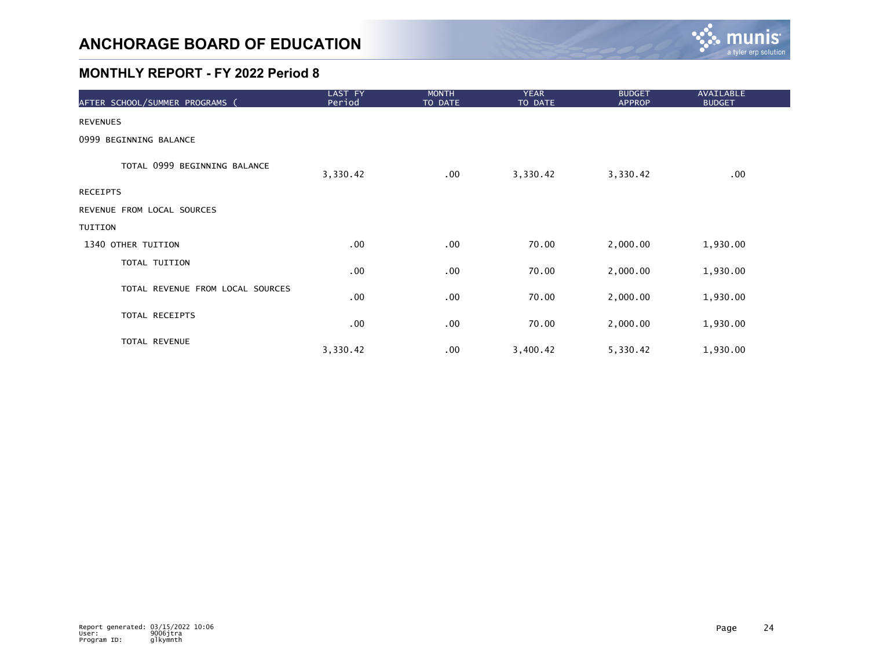

| AFTER SCHOOL/SUMMER PROGRAMS (   | LAST FY<br>Period | <b>MONTH</b><br>TO DATE | <b>YEAR</b><br>TO DATE | <b>BUDGET</b><br><b>APPROP</b> | AVAILABLE<br><b>BUDGET</b> |
|----------------------------------|-------------------|-------------------------|------------------------|--------------------------------|----------------------------|
| <b>REVENUES</b>                  |                   |                         |                        |                                |                            |
| 0999 BEGINNING BALANCE           |                   |                         |                        |                                |                            |
| TOTAL 0999 BEGINNING BALANCE     | 3,330.42          | $.00 \,$                | 3,330.42               | 3,330.42                       | .00                        |
| <b>RECEIPTS</b>                  |                   |                         |                        |                                |                            |
| REVENUE FROM LOCAL SOURCES       |                   |                         |                        |                                |                            |
| TUITION                          |                   |                         |                        |                                |                            |
| 1340 OTHER TUITION               | .00               | .00                     | 70.00                  | 2,000.00                       | 1,930.00                   |
| TOTAL TUITION                    | .00               | .00                     | 70.00                  | 2,000.00                       | 1,930.00                   |
| TOTAL REVENUE FROM LOCAL SOURCES | .00               | $.00 \,$                | 70.00                  | 2,000.00                       | 1,930.00                   |
| TOTAL RECEIPTS                   | .00               | .00                     | 70.00                  | 2,000.00                       | 1,930.00                   |
| TOTAL REVENUE                    | 3,330.42          | .00                     | 3,400.42               | 5,330.42                       | 1,930.00                   |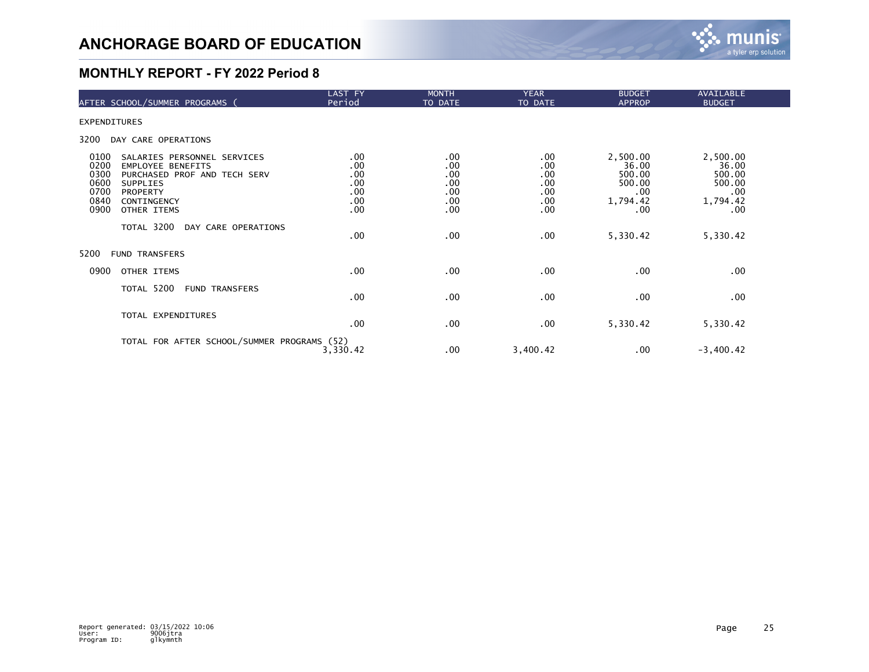

| AFTER SCHOOL/SUMMER PROGRAMS (                                                                                                                                                                                      | LAST FY<br>Period                             | <b>MONTH</b><br>TO DATE                       | <b>YEAR</b><br>TO DATE                                  | <b>BUDGET</b><br><b>APPROP</b>                                   | AVAILABLE<br><b>BUDGET</b>                                           |  |
|---------------------------------------------------------------------------------------------------------------------------------------------------------------------------------------------------------------------|-----------------------------------------------|-----------------------------------------------|---------------------------------------------------------|------------------------------------------------------------------|----------------------------------------------------------------------|--|
| <b>EXPENDITURES</b>                                                                                                                                                                                                 |                                               |                                               |                                                         |                                                                  |                                                                      |  |
| 3200<br>DAY CARE OPERATIONS                                                                                                                                                                                         |                                               |                                               |                                                         |                                                                  |                                                                      |  |
| 0100<br>SALARIES PERSONNEL SERVICES<br>0200<br><b>EMPLOYEE BENEFITS</b><br>0300<br>PURCHASED PROF AND TECH SERV<br>0600<br><b>SUPPLIES</b><br>0700<br><b>PROPERTY</b><br>0840<br>CONTINGENCY<br>0900<br>OTHER ITEMS | .00<br>.00<br>.00<br>.00<br>.00<br>.00<br>.00 | .00<br>.00<br>.00<br>.00<br>.00<br>.00<br>.00 | $.00 \,$<br>.00<br>.00<br>.00<br>.00<br>$.00 \,$<br>.00 | 2,500.00<br>36.00<br>500.00<br>500.00<br>.00.<br>1,794.42<br>.00 | 2,500.00<br>36.00<br>500.00<br>500.00<br>$.00 \,$<br>1,794.42<br>.00 |  |
| TOTAL 3200<br>DAY CARE OPERATIONS                                                                                                                                                                                   | .00                                           | $.00 \,$                                      | .00                                                     | 5,330.42                                                         | 5,330.42                                                             |  |
| 5200<br><b>FUND TRANSFERS</b>                                                                                                                                                                                       |                                               |                                               |                                                         |                                                                  |                                                                      |  |
| 0900<br>OTHER ITEMS                                                                                                                                                                                                 | .00                                           | .00                                           | .00                                                     | .00                                                              | .00                                                                  |  |
| TOTAL 5200<br><b>FUND TRANSFERS</b>                                                                                                                                                                                 | .00                                           | $.00 \,$                                      | .00                                                     | .00                                                              | $.00 \,$                                                             |  |
| TOTAL EXPENDITURES                                                                                                                                                                                                  | .00                                           | $.00 \,$                                      | $.00 \,$                                                | 5,330.42                                                         | 5,330.42                                                             |  |
| TOTAL FOR AFTER SCHOOL/SUMMER PROGRAMS (52)                                                                                                                                                                         | 3,330.42                                      | $.00 \,$                                      | 3,400.42                                                | .00                                                              | $-3,400.42$                                                          |  |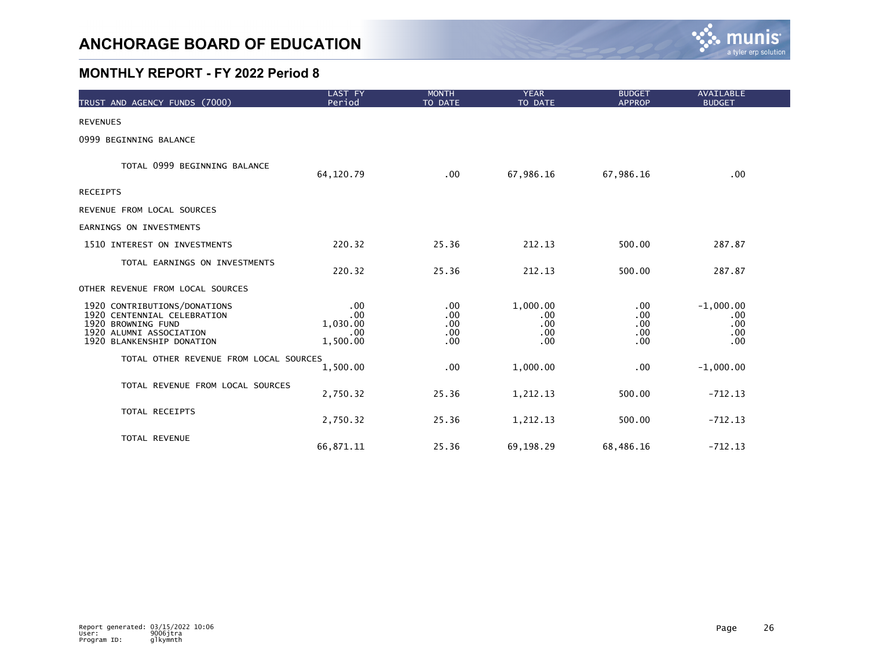

| TRUST AND AGENCY FUNDS (7000)                                                                                                             | LAST FY<br>Period                         | <b>MONTH</b><br>TO DATE         | <b>YEAR</b><br>TO DATE                    | <b>BUDGET</b><br><b>APPROP</b>  | <b>AVAILABLE</b><br><b>BUDGET</b>       |
|-------------------------------------------------------------------------------------------------------------------------------------------|-------------------------------------------|---------------------------------|-------------------------------------------|---------------------------------|-----------------------------------------|
| <b>REVENUES</b>                                                                                                                           |                                           |                                 |                                           |                                 |                                         |
| 0999 BEGINNING BALANCE                                                                                                                    |                                           |                                 |                                           |                                 |                                         |
| TOTAL 0999 BEGINNING BALANCE                                                                                                              | 64, 120.79                                | .00                             | 67,986.16                                 | 67,986.16                       | .00                                     |
| <b>RECEIPTS</b>                                                                                                                           |                                           |                                 |                                           |                                 |                                         |
| REVENUE FROM LOCAL SOURCES                                                                                                                |                                           |                                 |                                           |                                 |                                         |
| EARNINGS ON INVESTMENTS                                                                                                                   |                                           |                                 |                                           |                                 |                                         |
| 1510 INTEREST ON INVESTMENTS                                                                                                              | 220.32                                    | 25.36                           | 212.13                                    | 500.00                          | 287.87                                  |
| TOTAL EARNINGS ON INVESTMENTS                                                                                                             | 220.32                                    | 25.36                           | 212.13                                    | 500.00                          | 287.87                                  |
| OTHER REVENUE FROM LOCAL SOURCES                                                                                                          |                                           |                                 |                                           |                                 |                                         |
| 1920 CONTRIBUTIONS/DONATIONS<br>1920 CENTENNIAL CELEBRATION<br>1920 BROWNING FUND<br>1920 ALUMNI ASSOCIATION<br>1920 BLANKENSHIP DONATION | .00<br>.00<br>1,030.00<br>.00<br>1,500.00 | .00<br>.00<br>.00<br>.00<br>.00 | 1,000.00<br>$.00 \,$<br>.00<br>.00<br>.00 | .00<br>.00<br>.00<br>.00<br>.00 | $-1,000.00$<br>.00<br>.00<br>.00<br>.00 |
| TOTAL OTHER REVENUE FROM LOCAL SOURCES                                                                                                    | 1,500.00                                  | .00                             | 1,000.00                                  | .00                             | $-1,000.00$                             |
| TOTAL REVENUE FROM LOCAL SOURCES                                                                                                          | 2,750.32                                  | 25.36                           | 1,212.13                                  | 500.00                          | $-712.13$                               |
| TOTAL RECEIPTS                                                                                                                            | 2,750.32                                  | 25.36                           | 1,212.13                                  | 500.00                          | $-712.13$                               |
| TOTAL REVENUE                                                                                                                             | 66,871.11                                 | 25.36                           | 69,198.29                                 | 68,486.16                       | $-712.13$                               |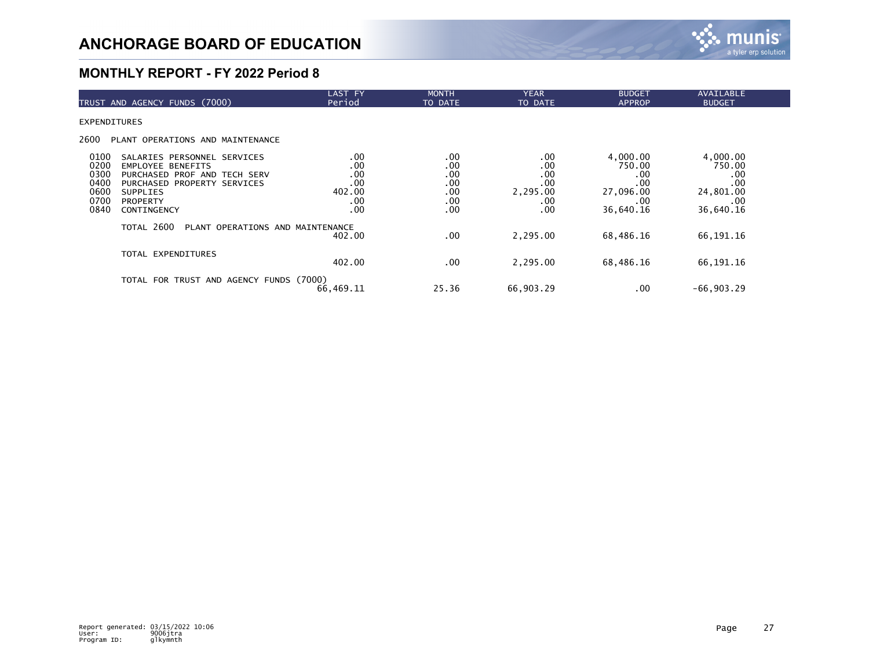

| TRUST AND AGENCY FUNDS (7000)                                                                                                                                                                                                       | <b>LAST FY</b><br>Period                         | <b>MONTH</b><br>TO DATE                       | <b>YEAR</b><br>TO DATE                             | <b>BUDGET</b><br><b>APPROP</b>                                    | AVAILABLE<br><b>BUDGET</b>                                        |
|-------------------------------------------------------------------------------------------------------------------------------------------------------------------------------------------------------------------------------------|--------------------------------------------------|-----------------------------------------------|----------------------------------------------------|-------------------------------------------------------------------|-------------------------------------------------------------------|
| <b>EXPENDITURES</b>                                                                                                                                                                                                                 |                                                  |                                               |                                                    |                                                                   |                                                                   |
| 2600<br>PLANT OPERATIONS AND MAINTENANCE                                                                                                                                                                                            |                                                  |                                               |                                                    |                                                                   |                                                                   |
| 0100<br>SALARIES PERSONNEL SERVICES<br>0200<br><b>EMPLOYEE BENEFITS</b><br>0300<br>PURCHASED PROF AND TECH SERV<br>0400<br>PURCHASED PROPERTY SERVICES<br>0600<br><b>SUPPLIES</b><br>0700<br><b>PROPERTY</b><br>0840<br>CONTINGENCY | .00<br>.00<br>.00<br>.00<br>402.00<br>.00<br>.00 | .00<br>.00<br>.00<br>.00<br>.00<br>.00<br>.00 | .00<br>.00<br>.00<br>.00<br>2,295.00<br>.00<br>.00 | 4,000.00<br>750.00<br>.00<br>.00<br>27,096.00<br>.00<br>36,640.16 | 4,000.00<br>750.00<br>.00<br>.00<br>24,801.00<br>.00<br>36,640.16 |
| TOTAL 2600<br>PLANT OPERATIONS AND MAINTENANCE                                                                                                                                                                                      | 402.00                                           | $.00 \,$                                      | 2.295.00                                           | 68,486.16                                                         | 66,191.16                                                         |
| TOTAL EXPENDITURES                                                                                                                                                                                                                  | 402.00                                           | .00                                           | 2,295.00                                           | 68,486.16                                                         | 66,191.16                                                         |
| TOTAL FOR TRUST AND AGENCY FUNDS (7000)                                                                                                                                                                                             | 66,469.11                                        | 25.36                                         | 66,903.29                                          | .00                                                               | $-66,903.29$                                                      |